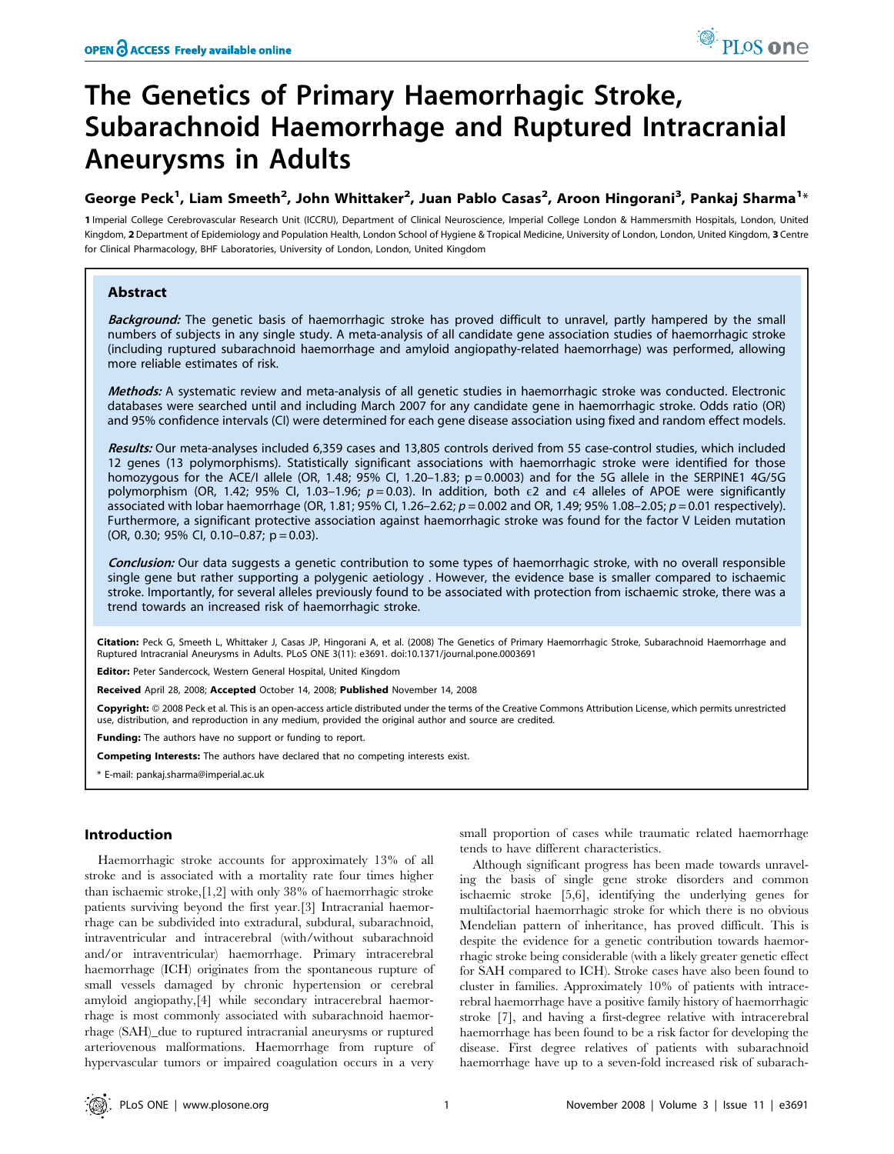# The Genetics of Primary Haemorrhagic Stroke, Subarachnoid Haemorrhage and Ruptured Intracranial Aneurysms in Adults

# George Peck $^1$ , Liam Smeeth $^2$ , John Whittaker $^2$ , Juan Pablo Casas $^2$ , Aroon Hingorani $^3$ , Pankaj Sharma $^{1_\ast}$

1 Imperial College Cerebrovascular Research Unit (ICCRU), Department of Clinical Neuroscience, Imperial College London & Hammersmith Hospitals, London, United Kingdom, 2 Department of Epidemiology and Population Health, London School of Hygiene & Tropical Medicine, University of London, London, United Kingdom, 3 Centre for Clinical Pharmacology, BHF Laboratories, University of London, London, United Kingdom

# Abstract

Background: The genetic basis of haemorrhagic stroke has proved difficult to unravel, partly hampered by the small numbers of subjects in any single study. A meta-analysis of all candidate gene association studies of haemorrhagic stroke (including ruptured subarachnoid haemorrhage and amyloid angiopathy-related haemorrhage) was performed, allowing more reliable estimates of risk.

Methods: A systematic review and meta-analysis of all genetic studies in haemorrhagic stroke was conducted. Electronic databases were searched until and including March 2007 for any candidate gene in haemorrhagic stroke. Odds ratio (OR) and 95% confidence intervals (CI) were determined for each gene disease association using fixed and random effect models.

Results: Our meta-analyses included 6,359 cases and 13,805 controls derived from 55 case-control studies, which included 12 genes (13 polymorphisms). Statistically significant associations with haemorrhagic stroke were identified for those homozygous for the ACE/I allele (OR, 1.48;  $95\%$  CI, 1.20-1.83; p = 0.0003) and for the 5G allele in the SERPINE1 4G/5G polymorphism (OR, 1.42; 95% Cl, 1.03-1.96;  $p = 0.03$ ). In addition, both  $\epsilon$ 2 and  $\epsilon$ 4 alleles of APOE were significantly associated with lobar haemorrhage (OR, 1.81; 95% CI, 1.26–2.62;  $p = 0.002$  and OR, 1.49; 95% 1.08–2.05;  $p = 0.01$  respectively). Furthermore, a significant protective association against haemorrhagic stroke was found for the factor V Leiden mutation  $(OR, 0.30; 95\% \text{ Cl}, 0.10-0.87; p = 0.03).$ 

Conclusion: Our data suggests a genetic contribution to some types of haemorrhagic stroke, with no overall responsible single gene but rather supporting a polygenic aetiology . However, the evidence base is smaller compared to ischaemic stroke. Importantly, for several alleles previously found to be associated with protection from ischaemic stroke, there was a trend towards an increased risk of haemorrhagic stroke.

Citation: Peck G, Smeeth L, Whittaker J, Casas JP, Hingorani A, et al. (2008) The Genetics of Primary Haemorrhagic Stroke, Subarachnoid Haemorrhage and Ruptured Intracranial Aneurysms in Adults. PLoS ONE 3(11): e3691. doi:10.1371/journal.pone.0003691

Editor: Peter Sandercock, Western General Hospital, United Kingdom

Received April 28, 2008; Accepted October 14, 2008; Published November 14, 2008

Copyright: © 2008 Peck et al. This is an open-access article distributed under the terms of the Creative Commons Attribution License, which permits unrestricted use, distribution, and reproduction in any medium, provided the original author and source are credited.

Funding: The authors have no support or funding to report.

Competing Interests: The authors have declared that no competing interests exist.

\* E-mail: pankaj.sharma@imperial.ac.uk

#### Introduction

Haemorrhagic stroke accounts for approximately 13% of all stroke and is associated with a mortality rate four times higher than ischaemic stroke,[1,2] with only 38% of haemorrhagic stroke patients surviving beyond the first year.[3] Intracranial haemorrhage can be subdivided into extradural, subdural, subarachnoid, intraventricular and intracerebral (with/without subarachnoid and/or intraventricular) haemorrhage. Primary intracerebral haemorrhage (ICH) originates from the spontaneous rupture of small vessels damaged by chronic hypertension or cerebral amyloid angiopathy,[4] while secondary intracerebral haemorrhage is most commonly associated with subarachnoid haemorrhage (SAH)\_due to ruptured intracranial aneurysms or ruptured arteriovenous malformations. Haemorrhage from rupture of hypervascular tumors or impaired coagulation occurs in a very

small proportion of cases while traumatic related haemorrhage tends to have different characteristics.

Although significant progress has been made towards unraveling the basis of single gene stroke disorders and common ischaemic stroke [5,6], identifying the underlying genes for multifactorial haemorrhagic stroke for which there is no obvious Mendelian pattern of inheritance, has proved difficult. This is despite the evidence for a genetic contribution towards haemorrhagic stroke being considerable (with a likely greater genetic effect for SAH compared to ICH). Stroke cases have also been found to cluster in families. Approximately 10% of patients with intracerebral haemorrhage have a positive family history of haemorrhagic stroke [7], and having a first-degree relative with intracerebral haemorrhage has been found to be a risk factor for developing the disease. First degree relatives of patients with subarachnoid haemorrhage have up to a seven-fold increased risk of subarach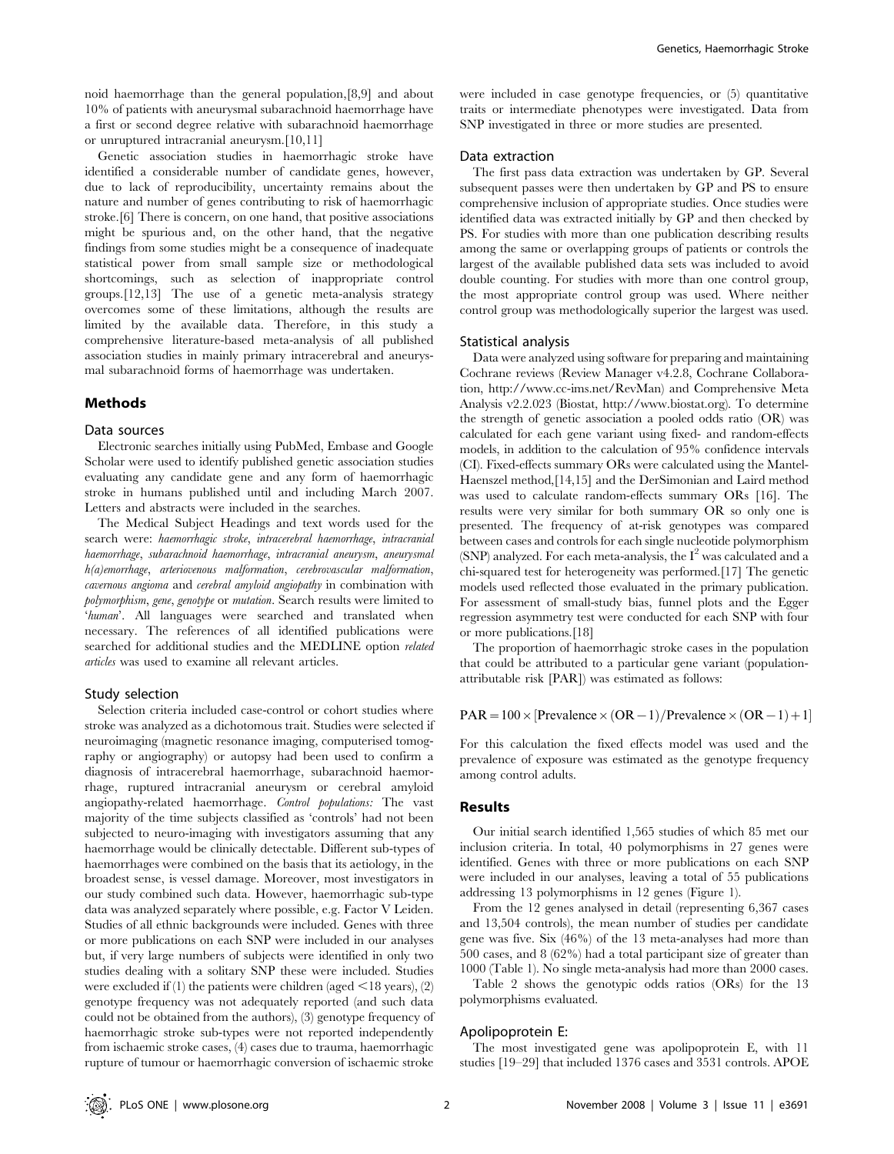noid haemorrhage than the general population,[8,9] and about 10% of patients with aneurysmal subarachnoid haemorrhage have a first or second degree relative with subarachnoid haemorrhage or unruptured intracranial aneurysm.[10,11]

Genetic association studies in haemorrhagic stroke have identified a considerable number of candidate genes, however, due to lack of reproducibility, uncertainty remains about the nature and number of genes contributing to risk of haemorrhagic stroke.[6] There is concern, on one hand, that positive associations might be spurious and, on the other hand, that the negative findings from some studies might be a consequence of inadequate statistical power from small sample size or methodological shortcomings, such as selection of inappropriate control groups.[12,13] The use of a genetic meta-analysis strategy overcomes some of these limitations, although the results are limited by the available data. Therefore, in this study a comprehensive literature-based meta-analysis of all published association studies in mainly primary intracerebral and aneurysmal subarachnoid forms of haemorrhage was undertaken.

#### Methods

#### Data sources

Electronic searches initially using PubMed, Embase and Google Scholar were used to identify published genetic association studies evaluating any candidate gene and any form of haemorrhagic stroke in humans published until and including March 2007. Letters and abstracts were included in the searches.

The Medical Subject Headings and text words used for the search were: haemorrhagic stroke, intracerebral haemorrhage, intracranial haemorrhage, subarachnoid haemorrhage, intracranial aneurysm, aneurysmal h(a)emorrhage, arteriovenous malformation, cerebrovascular malformation, cavernous angioma and cerebral amyloid angiopathy in combination with polymorphism, gene, genotype or mutation. Search results were limited to 'human'. All languages were searched and translated when necessary. The references of all identified publications were searched for additional studies and the MEDLINE option related articles was used to examine all relevant articles.

#### Study selection

Selection criteria included case-control or cohort studies where stroke was analyzed as a dichotomous trait. Studies were selected if neuroimaging (magnetic resonance imaging, computerised tomography or angiography) or autopsy had been used to confirm a diagnosis of intracerebral haemorrhage, subarachnoid haemorrhage, ruptured intracranial aneurysm or cerebral amyloid angiopathy-related haemorrhage. Control populations: The vast majority of the time subjects classified as 'controls' had not been subjected to neuro-imaging with investigators assuming that any haemorrhage would be clinically detectable. Different sub-types of haemorrhages were combined on the basis that its aetiology, in the broadest sense, is vessel damage. Moreover, most investigators in our study combined such data. However, haemorrhagic sub-type data was analyzed separately where possible, e.g. Factor V Leiden. Studies of all ethnic backgrounds were included. Genes with three or more publications on each SNP were included in our analyses but, if very large numbers of subjects were identified in only two studies dealing with a solitary SNP these were included. Studies were excluded if  $(1)$  the patients were children (aged  $\leq$  18 years),  $(2)$ genotype frequency was not adequately reported (and such data could not be obtained from the authors), (3) genotype frequency of haemorrhagic stroke sub-types were not reported independently from ischaemic stroke cases, (4) cases due to trauma, haemorrhagic rupture of tumour or haemorrhagic conversion of ischaemic stroke

were included in case genotype frequencies, or (5) quantitative traits or intermediate phenotypes were investigated. Data from SNP investigated in three or more studies are presented.

#### Data extraction

The first pass data extraction was undertaken by GP. Several subsequent passes were then undertaken by GP and PS to ensure comprehensive inclusion of appropriate studies. Once studies were identified data was extracted initially by GP and then checked by PS. For studies with more than one publication describing results among the same or overlapping groups of patients or controls the largest of the available published data sets was included to avoid double counting. For studies with more than one control group, the most appropriate control group was used. Where neither control group was methodologically superior the largest was used.

#### Statistical analysis

Data were analyzed using software for preparing and maintaining Cochrane reviews (Review Manager v4.2.8, Cochrane Collaboration, http://www.cc-ims.net/RevMan) and Comprehensive Meta Analysis v2.2.023 (Biostat, http://www.biostat.org). To determine the strength of genetic association a pooled odds ratio (OR) was calculated for each gene variant using fixed- and random-effects models, in addition to the calculation of 95% confidence intervals (CI). Fixed-effects summary ORs were calculated using the Mantel-Haenszel method,[14,15] and the DerSimonian and Laird method was used to calculate random-effects summary ORs [16]. The results were very similar for both summary OR so only one is presented. The frequency of at-risk genotypes was compared between cases and controls for each single nucleotide polymorphism (SNP) analyzed. For each meta-analysis, the  $I^2$  was calculated and a chi-squared test for heterogeneity was performed.[17] The genetic models used reflected those evaluated in the primary publication. For assessment of small-study bias, funnel plots and the Egger regression asymmetry test were conducted for each SNP with four or more publications.[18]

The proportion of haemorrhagic stroke cases in the population that could be attributed to a particular gene variant (populationattributable risk [PAR]) was estimated as follows:

# $PAR = 100 \times [Prevalence \times (OR-1)/ Prevalence \times (OR-1) + 1]$

For this calculation the fixed effects model was used and the prevalence of exposure was estimated as the genotype frequency among control adults.

#### Results

Our initial search identified 1,565 studies of which 85 met our inclusion criteria. In total, 40 polymorphisms in 27 genes were identified. Genes with three or more publications on each SNP were included in our analyses, leaving a total of 55 publications addressing 13 polymorphisms in 12 genes (Figure 1).

From the 12 genes analysed in detail (representing 6,367 cases and 13,504 controls), the mean number of studies per candidate gene was five. Six (46%) of the 13 meta-analyses had more than 500 cases, and 8 (62%) had a total participant size of greater than 1000 (Table 1). No single meta-analysis had more than 2000 cases.

Table 2 shows the genotypic odds ratios (ORs) for the 13 polymorphisms evaluated.

#### Apolipoprotein E:

The most investigated gene was apolipoprotein E, with 11 studies [19–29] that included 1376 cases and 3531 controls. APOE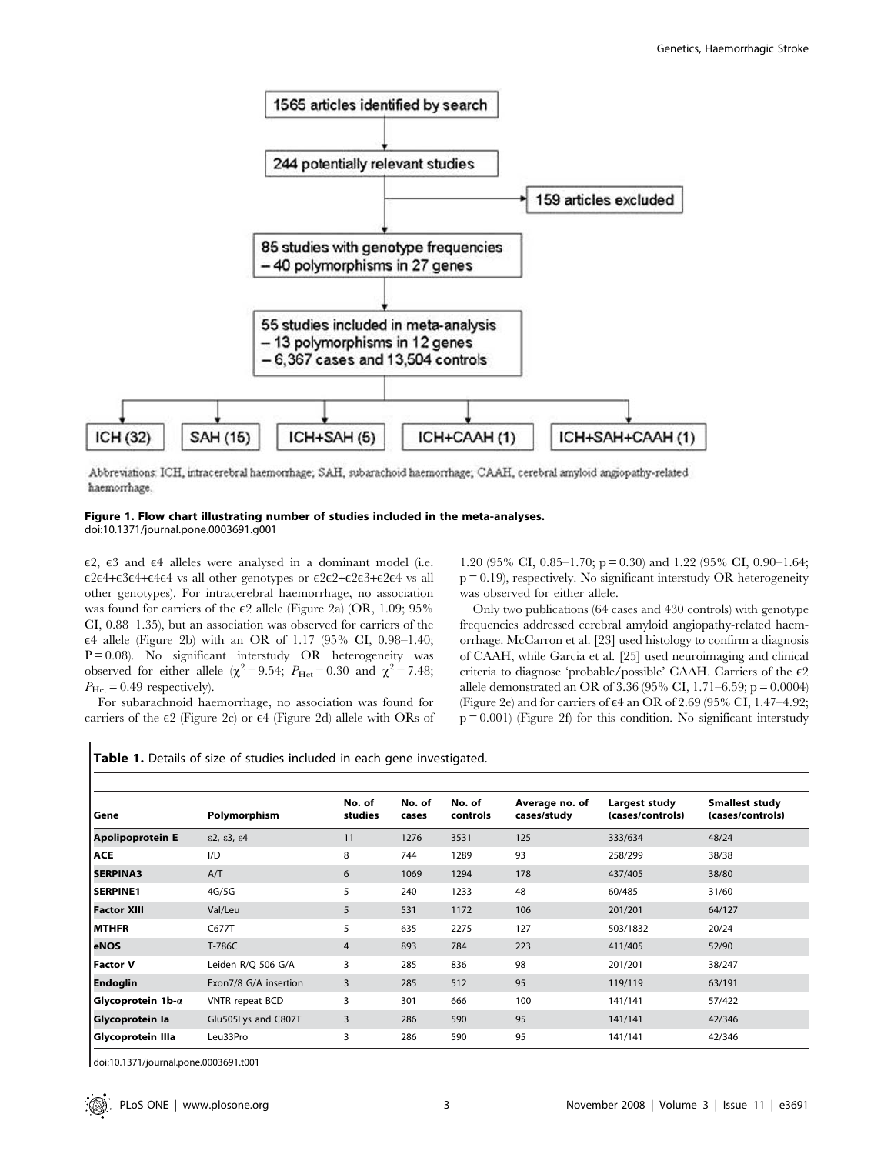

Abbreviations: ICH, intracerebral haemorrhage; SAH, subarachoid haemorrhage; CAAH, cerebral amyloid angiopathy-related haemorrhage.

# Figure 1. Flow chart illustrating number of studies included in the meta-analyses.

doi:10.1371/journal.pone.0003691.g001

 $\epsilon$ 2,  $\epsilon$ 3 and  $\epsilon$ 4 alleles were analysed in a dominant model (i.e.  $\epsilon$ 2 $\epsilon$ 4+ $\epsilon$ 3 $\epsilon$ 4+ $\epsilon$ 4 $\epsilon$ 4 vs all other genotypes or  $\epsilon$ 2 $\epsilon$ 2+ $\epsilon$ 2 $\epsilon$ 3+ $\epsilon$ 2 $\epsilon$ 4 vs all other genotypes). For intracerebral haemorrhage, no association was found for carriers of the  $\varepsilon$ 2 allele (Figure 2a) (OR, 1.09; 95% CI, 0.88–1.35), but an association was observed for carriers of the E4 allele (Figure 2b) with an OR of 1.17 (95% CI, 0.98–1.40;  $P = 0.08$ ). No significant interstudy OR heterogeneity was observed for either allele ( $\chi^2$  = 9.54;  $P_{\text{Het}}$  = 0.30 and  $\chi^2$  = 7.48;  $P_{\text{Het}} = 0.49$  respectively).

For subarachnoid haemorrhage, no association was found for carriers of the  $\epsilon$ 2 (Figure 2c) or  $\epsilon$ 4 (Figure 2d) allele with ORs of 1.20 (95% CI, 0.85–1.70; p = 0.30) and 1.22 (95% CI, 0.90–1.64;  $p = 0.19$ , respectively. No significant interstudy OR heterogeneity was observed for either allele.

Only two publications (64 cases and 430 controls) with genotype frequencies addressed cerebral amyloid angiopathy-related haemorrhage. McCarron et al. [23] used histology to confirm a diagnosis of CAAH, while Garcia et al. [25] used neuroimaging and clinical criteria to diagnose 'probable/possible' CAAH. Carriers of the  $\epsilon$ ? allele demonstrated an OR of 3.36 (95% CI, 1.71–6.59; p = 0.0004) (Figure 2e) and for carriers of  $\epsilon$ 4 an OR of 2.69 (95% CI, 1.47–4.92;  $p = 0.001$ ) (Figure 2f) for this condition. No significant interstudy

|  |  |  |  |  |  |  |  | Table 1. Details of size of studies included in each gene investigated. |
|--|--|--|--|--|--|--|--|-------------------------------------------------------------------------|
|--|--|--|--|--|--|--|--|-------------------------------------------------------------------------|

| Gene                                     | Polymorphism                             | No. of<br>studies | No. of<br>cases | No. of<br>controls | Average no. of<br>cases/study | Largest study<br>(cases/controls) | <b>Smallest study</b><br>(cases/controls) |
|------------------------------------------|------------------------------------------|-------------------|-----------------|--------------------|-------------------------------|-----------------------------------|-------------------------------------------|
| <b>Apolipoprotein E</b>                  | $\epsilon$ 2, $\epsilon$ 3, $\epsilon$ 4 | 11                | 1276            | 3531               | 125                           | 333/634                           | 48/24                                     |
| <b>ACE</b>                               | I/D                                      | 8                 | 744             | 1289               | 93                            | 258/299                           | 38/38                                     |
| <b>SERPINA3</b>                          | A/T                                      | 6                 | 1069            | 1294               | 178                           | 437/405                           | 38/80                                     |
| <b>SERPINE1</b>                          | 4G/5G                                    | 5                 | 240             | 1233               | 48                            | 60/485                            | 31/60                                     |
| <b>Factor XIII</b>                       | Val/Leu                                  | 5                 | 531             | 1172               | 106                           | 201/201                           | 64/127                                    |
| l MTHFR                                  | C677T                                    | 5                 | 635             | 2275               | 127                           | 503/1832                          | 20/24                                     |
| eNOS                                     | T-786C                                   | $\overline{4}$    | 893             | 784                | 223                           | 411/405                           | 52/90                                     |
| Factor V                                 | Leiden R/Q 506 G/A                       | 3                 | 285             | 836                | 98                            | 201/201                           | 38/247                                    |
| <b>Endoglin</b>                          | Exon7/8 G/A insertion                    | 3                 | 285             | 512                | 95                            | 119/119                           | 63/191                                    |
| $\blacksquare$ Glycoprotein 1b- $\alpha$ | <b>VNTR</b> repeat BCD                   | 3                 | 301             | 666                | 100                           | 141/141                           | 57/422                                    |
| Glycoprotein la                          | Glu505Lys and C807T                      | 3                 | 286             | 590                | 95                            | 141/141                           | 42/346                                    |
| Glycoprotein Illa                        | Leu33Pro                                 | 3                 | 286             | 590                | 95                            | 141/141                           | 42/346                                    |

doi:10.1371/journal.pone.0003691.t001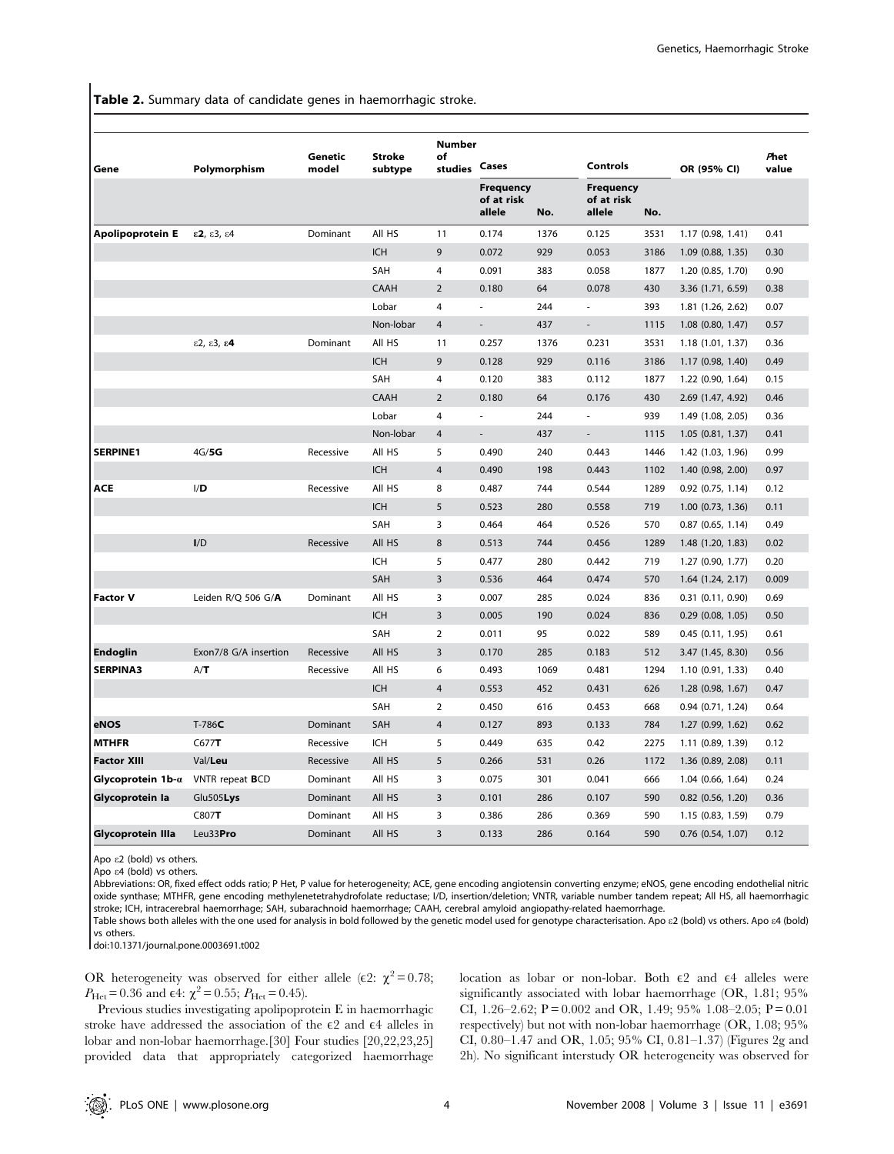Table 2. Summary data of candidate genes in haemorrhagic stroke.

| Gene                              | Polymorphism                             | Genetic<br>model | <b>Stroke</b><br>subtype | <b>Number</b><br>of<br>studies | Cases                                    |      | <b>Controls</b>                          |      | OR (95% CI)           | Phet<br>value |
|-----------------------------------|------------------------------------------|------------------|--------------------------|--------------------------------|------------------------------------------|------|------------------------------------------|------|-----------------------|---------------|
|                                   |                                          |                  |                          |                                | <b>Frequency</b><br>of at risk<br>allele | No.  | <b>Frequency</b><br>of at risk<br>allele | No.  |                       |               |
| Apolipoprotein E                  | $\epsilon$ 2, $\epsilon$ 3, $\epsilon$ 4 | Dominant         | All HS                   | 11                             | 0.174                                    | 1376 | 0.125                                    | 3531 | 1.17 (0.98, 1.41)     | 0.41          |
|                                   |                                          |                  | <b>ICH</b>               | 9                              | 0.072                                    | 929  | 0.053                                    | 3186 | 1.09 (0.88, 1.35)     | 0.30          |
|                                   |                                          |                  | SAH                      | 4                              | 0.091                                    | 383  | 0.058                                    | 1877 | 1.20 (0.85, 1.70)     | 0.90          |
|                                   |                                          |                  | CAAH                     | $\overline{2}$                 | 0.180                                    | 64   | 0.078                                    | 430  | 3.36 (1.71, 6.59)     | 0.38          |
|                                   |                                          |                  | Lobar                    | $\overline{4}$                 | ×.                                       | 244  | $\sim$                                   | 393  | 1.81 (1.26, 2.62)     | 0.07          |
|                                   |                                          |                  | Non-lobar                | $\overline{4}$                 | $\sim$                                   | 437  | $\overline{\phantom{a}}$                 | 1115 | $1.08$ $(0.80, 1.47)$ | 0.57          |
|                                   | $\epsilon$ 2, $\epsilon$ 3, $\epsilon$ 4 | Dominant         | All HS                   | 11                             | 0.257                                    | 1376 | 0.231                                    | 3531 | 1.18 (1.01, 1.37)     | 0.36          |
|                                   |                                          |                  | <b>ICH</b>               | 9                              | 0.128                                    | 929  | 0.116                                    | 3186 | 1.17 (0.98, 1.40)     | 0.49          |
|                                   |                                          |                  | SAH                      | 4                              | 0.120                                    | 383  | 0.112                                    | 1877 | 1.22 (0.90, 1.64)     | 0.15          |
|                                   |                                          |                  | <b>CAAH</b>              | $\overline{2}$                 | 0.180                                    | 64   | 0.176                                    | 430  | 2.69 (1.47, 4.92)     | 0.46          |
|                                   |                                          |                  | Lobar                    | 4                              |                                          | 244  |                                          | 939  | 1.49 (1.08, 2.05)     | 0.36          |
|                                   |                                          |                  | Non-lobar                | $\overline{4}$                 | $\overline{\phantom{a}}$                 | 437  | $\overline{\phantom{0}}$                 | 1115 | 1.05 (0.81, 1.37)     | 0.41          |
| <b>SERPINE1</b>                   | 4G/5G                                    | Recessive        | All HS                   | 5                              | 0.490                                    | 240  | 0.443                                    | 1446 | 1.42 (1.03, 1.96)     | 0.99          |
|                                   |                                          |                  | <b>ICH</b>               | $\overline{4}$                 | 0.490                                    | 198  | 0.443                                    | 1102 | 1.40 (0.98, 2.00)     | 0.97          |
| ACE                               | I/D                                      | Recessive        | All HS                   | 8                              | 0.487                                    | 744  | 0.544                                    | 1289 | $0.92$ (0.75, 1.14)   | 0.12          |
|                                   |                                          |                  | <b>ICH</b>               | 5                              | 0.523                                    | 280  | 0.558                                    | 719  | $1.00$ $(0.73, 1.36)$ | 0.11          |
|                                   |                                          |                  | <b>SAH</b>               | 3                              | 0.464                                    | 464  | 0.526                                    | 570  | $0.87$ $(0.65, 1.14)$ | 0.49          |
|                                   | I/D                                      | Recessive        | All HS                   | 8                              | 0.513                                    | 744  | 0.456                                    | 1289 | 1.48 (1.20, 1.83)     | 0.02          |
|                                   |                                          |                  | <b>ICH</b>               | 5                              | 0.477                                    | 280  | 0.442                                    | 719  | 1.27 (0.90, 1.77)     | 0.20          |
|                                   |                                          |                  | SAH                      | 3                              | 0.536                                    | 464  | 0.474                                    | 570  | 1.64 (1.24, 2.17)     | 0.009         |
| <b>Factor V</b>                   | Leiden R/Q 506 G/ $A$                    | Dominant         | All HS                   | 3                              | 0.007                                    | 285  | 0.024                                    | 836  | $0.31$ $(0.11, 0.90)$ | 0.69          |
|                                   |                                          |                  | <b>ICH</b>               | $\overline{3}$                 | 0.005                                    | 190  | 0.024                                    | 836  | $0.29$ $(0.08, 1.05)$ | 0.50          |
|                                   |                                          |                  | SAH                      | 2                              | 0.011                                    | 95   | 0.022                                    | 589  | 0.45(0.11, 1.95)      | 0.61          |
| Endoglin                          | Exon7/8 G/A insertion                    | Recessive        | All HS                   | 3                              | 0.170                                    | 285  | 0.183                                    | 512  | 3.47 (1.45, 8.30)     | 0.56          |
| <b>SERPINA3</b>                   | A/T                                      | Recessive        | All HS                   | 6                              | 0.493                                    | 1069 | 0.481                                    | 1294 | 1.10 (0.91, 1.33)     | 0.40          |
|                                   |                                          |                  | <b>ICH</b>               | $\overline{4}$                 | 0.553                                    | 452  | 0.431                                    | 626  | 1.28 (0.98, 1.67)     | 0.47          |
|                                   |                                          |                  | <b>SAH</b>               | $\overline{2}$                 | 0.450                                    | 616  | 0.453                                    | 668  | $0.94$ $(0.71, 1.24)$ | 0.64          |
| eNOS                              | $T-786C$                                 | Dominant         | SAH                      | $\overline{4}$                 | 0.127                                    | 893  | 0.133                                    | 784  | 1.27 (0.99, 1.62)     | 0.62          |
| <b>MTHFR</b>                      | C677T                                    | Recessive        | <b>ICH</b>               | 5                              | 0.449                                    | 635  | 0.42                                     | 2275 | 1.11 (0.89, 1.39)     | 0.12          |
| <b>Factor XIII</b>                | Val/Leu                                  | Recessive        | All HS                   | 5                              | 0.266                                    | 531  | 0.26                                     | 1172 | 1.36 (0.89, 2.08)     | 0.11          |
| Glycoprotein 1b-a VNTR repeat BCD |                                          | Dominant         | All HS                   | 3                              | 0.075                                    | 301  | 0.041                                    | 666  | 1.04 (0.66, 1.64)     | 0.24          |
| Glycoprotein la                   | Glu505Lys                                | Dominant         | All HS                   | 3                              | 0.101                                    | 286  | 0.107                                    | 590  | $0.82$ (0.56, 1.20)   | 0.36          |
|                                   | C807T                                    | Dominant         | All HS                   | 3                              | 0.386                                    | 286  | 0.369                                    | 590  | 1.15 (0.83, 1.59)     | 0.79          |
| Glycoprotein Illa                 | Leu33Pro                                 | Dominant         | All HS                   | 3                              | 0.133                                    | 286  | 0.164                                    | 590  | $0.76$ $(0.54, 1.07)$ | 0.12          |

Apo e2 (bold) vs others.

Apo e4 (bold) vs others.

Abbreviations: OR, fixed effect odds ratio; P Het, P value for heterogeneity; ACE, gene encoding angiotensin converting enzyme; eNOS, gene encoding endothelial nitric oxide synthase; MTHFR, gene encoding methylenetetrahydrofolate reductase; I/D, insertion/deletion; VNTR, variable number tandem repeat; All HS, all haemorrhagic stroke; ICH, intracerebral haemorrhage; SAH, subarachnoid haemorrhage; CAAH, cerebral amyloid angiopathy-related haemorrhage.

Table shows both alleles with the one used for analysis in bold followed by the genetic model used for genotype characterisation. Apo  $\varepsilon$ 2 (bold) vs others. Apo  $\varepsilon$ 4 (bold) vs others.

doi:10.1371/journal.pone.0003691.t002

OR heterogeneity was observed for either allele ( $\epsilon$ 2:  $\chi^2$  = 0.78;  $P_{\text{Het}} = 0.36$  and  $\epsilon 4$ :  $\chi^2 = 0.55$ ;  $P_{\text{Het}} = 0.45$ ).

Previous studies investigating apolipoprotein E in haemorrhagic stroke have addressed the association of the  $\epsilon$ 2 and  $\epsilon$ 4 alleles in lobar and non-lobar haemorrhage.[30] Four studies [20,22,23,25] provided data that appropriately categorized haemorrhage

location as lobar or non-lobar. Both  $\epsilon$ 2 and  $\epsilon$ 4 alleles were significantly associated with lobar haemorrhage (OR, 1.81; 95% CI, 1.26–2.62; P = 0.002 and OR, 1.49; 95% 1.08–2.05; P = 0.01 respectively) but not with non-lobar haemorrhage (OR, 1.08; 95% CI, 0.80–1.47 and OR, 1.05; 95% CI, 0.81–1.37) (Figures 2g and 2h). No significant interstudy OR heterogeneity was observed for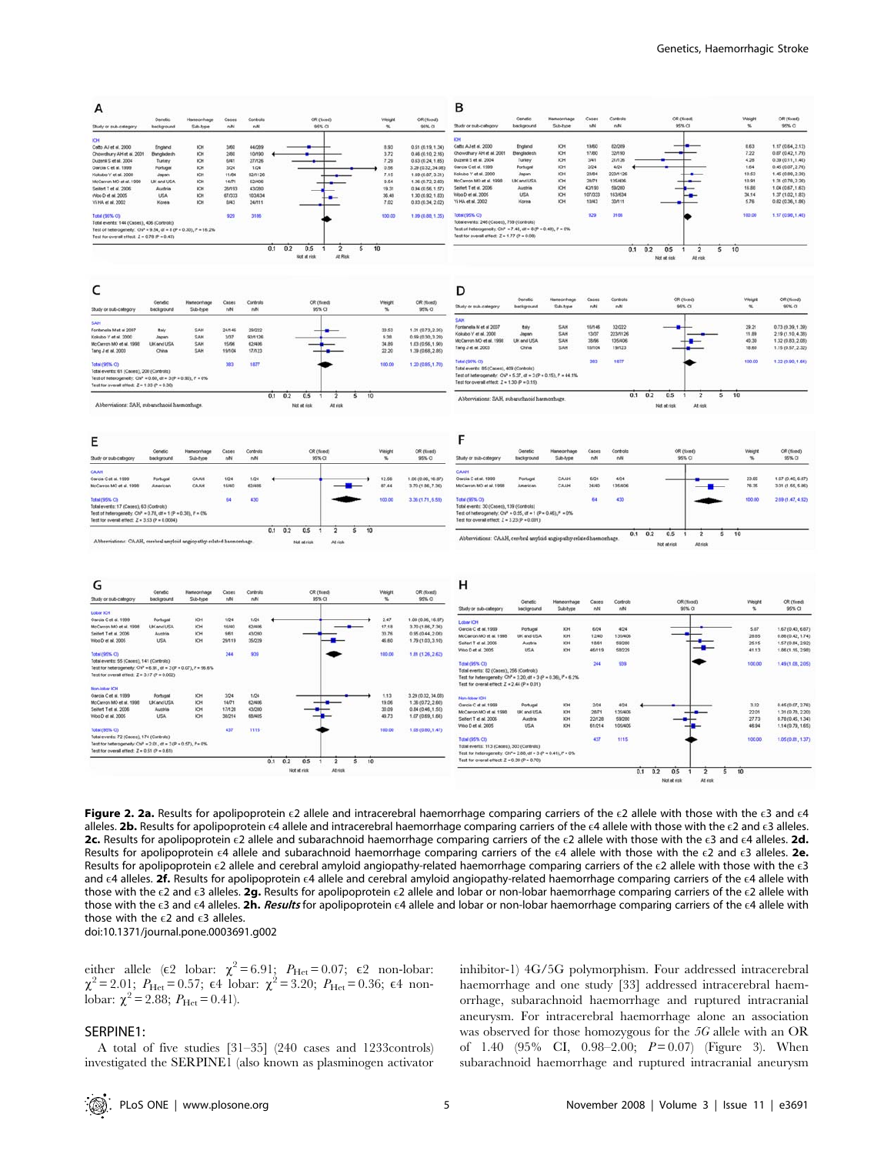

Figure 2. 2a. Results for apolipoprotein  $\epsilon 2$  allele and intracerebral haemorrhage comparing carriers of the  $\epsilon 2$  allele with those with the  $\epsilon 3$  and  $\epsilon 4$ alleles. 2b. Results for apolipoprotein  $\epsilon 4$  allele and intracerebral haemorrhage comparing carriers of the  $\epsilon 4$  allele with those with the  $\epsilon 2$  and  $\epsilon 3$  alleles. 2c. Results for apolipoprotein  $\epsilon$ 2 allele and subarachnoid haemorrhage comparing carriers of the  $\epsilon$ 2 allele with those with the  $\epsilon$ 3 and  $\epsilon$ 4 alleles. 2d. Results for apolipoprotein  $\epsilon$ 4 allele and subarachnoid haemorrhage comparing carriers of the  $\epsilon$ 4 allele with those with the  $\epsilon$ 2 and  $\epsilon$ 3 alleles. 2e. Results for apolipoprotein  $\epsilon$ 2 allele and cerebral amyloid angiopathy-related haemorrhage comparing carriers of the  $\epsilon$ 2 allele with those with the  $\epsilon$ 3 and  $\epsilon$ 4 alleles. 2f. Results for apolipoprotein  $\epsilon$ 4 allele and cerebral amyloid angiopathy-related haemorrhage comparing carriers of the  $\epsilon$ 4 allele with those with the  $\epsilon$ 2 and  $\epsilon$ 3 alleles. 2g. Results for apolipoprotein  $\epsilon$ 2 allele and lobar or non-lobar haemorrhage comparing carriers of the  $\epsilon$ 2 allele with those with the E3 and E4 alleles. 2h. Results for apolipoprotein E4 allele and lobar or non-lobar haemorrhage comparing carriers of the E4 allele with those with the  $\epsilon$ 2 and  $\epsilon$ 3 alleles. doi:10.1371/journal.pone.0003691.g002

either allele ( $\varepsilon$ 2 lobar:  $\chi^2$  = 6.91;  $P_{\text{Het}}$  = 0.07;  $\varepsilon$ 2 non-lobar:  $\chi^2 = 2.01$ ;  $P_{\text{Het}} = 0.57$ ;  $\epsilon 4$  lobar:  $\chi^2 = 3.20$ ;  $P_{\text{Het}} = 0.36$ ;  $\epsilon 4$  nonlobar:  $\chi^2$  = 2.88;  $P_{\text{Het}}$  = 0.41).

#### SERPINE1:

A total of five studies [31–35] (240 cases and 1233controls) investigated the SERPINE1 (also known as plasminogen activator

inhibitor-1) 4G/5G polymorphism. Four addressed intracerebral haemorrhage and one study [33] addressed intracerebral haemorrhage, subarachnoid haemorrhage and ruptured intracranial aneurysm. For intracerebral haemorrhage alone an association was observed for those homozygous for the 5G allele with an OR of 1.40  $(95\% \text{ CI}, 0.98-2.00; P=0.07)$  (Figure 3). When subarachnoid haemorrhage and ruptured intracranial aneurysm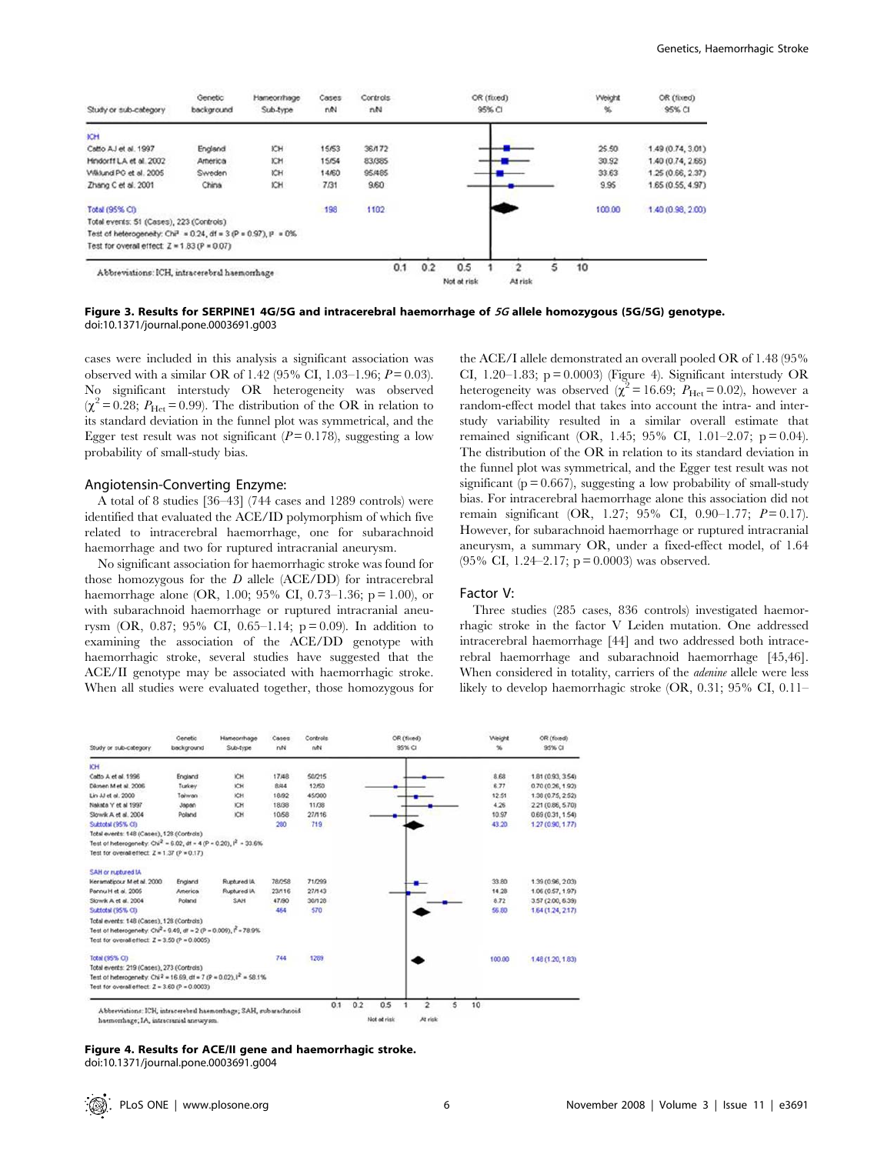| Study or sub-category                                                 | Genetic<br>background | Hameomhage<br>Sub-type | Cases<br>nN | Controls<br>nN |     |                    | OR (fixed)<br>95% CI |              |    | Weight<br>% | OR (fixed)<br>95% CI |
|-----------------------------------------------------------------------|-----------------------|------------------------|-------------|----------------|-----|--------------------|----------------------|--------------|----|-------------|----------------------|
| <b>ICH</b>                                                            |                       |                        |             |                |     |                    |                      |              |    |             |                      |
| Catto AJ et al. 1997                                                  | England               | KH                     | 15/53       | 36/172         |     |                    |                      |              |    | 25.50       | 1.49 (0.74, 3.01)    |
| Hindorff LA et al. 2002                                               | America               | ЮH                     | 15/54       | 83/385         |     |                    |                      |              |    | 30.92       | 1.40 (0.74, 2.66)    |
| Wiklund PG et al. 2005                                                | Sweden                | KH                     | 14/60       | 95/485         |     |                    |                      |              |    | 33.63       | 1,25 (0.66, 2.37)    |
| Zhang C et al. 2001                                                   | China                 | KH                     | 7/31        | 9.60           |     |                    |                      |              |    | 9.95        | 1.65 (0.55, 4.97)    |
| Total (95% CI)                                                        |                       |                        | 198         | 1102           |     |                    |                      |              |    | 100.00      | 1.40 (0.98, 2.00)    |
| Total events: 51 (Cases), 223 (Controls)                              |                       |                        |             |                |     |                    |                      |              |    |             |                      |
| Test of heterogenety: $Ch^2 = 0.24$ , df = $3 (P = 0.97)$ , $P = 0\%$ |                       |                        |             |                |     |                    |                      |              |    |             |                      |
| Test for overall effect: $Z = 1.83 (P = 0.07)$                        |                       |                        |             |                |     |                    |                      |              |    |             |                      |
| Abbreviations: ICH, intracerebral haemorrhage                         |                       |                        |             | 0.1            | 0.2 | 0.5<br>Not at risk |                      | 2<br>At risk | 10 |             |                      |

Figure 3. Results for SERPINE1 4G/5G and intracerebral haemorrhage of 5G allele homozygous (5G/5G) genotype. doi:10.1371/journal.pone.0003691.g003

cases were included in this analysis a significant association was observed with a similar OR of 1.42 (95% CI, 1.03–1.96;  $P = 0.03$ ). No significant interstudy OR heterogeneity was observed  $(\chi^2 = 0.28; P_{\text{Het}} = 0.99)$ . The distribution of the OR in relation to its standard deviation in the funnel plot was symmetrical, and the Egger test result was not significant ( $P = 0.178$ ), suggesting a low probability of small-study bias.

#### Angiotensin-Converting Enzyme:

A total of 8 studies [36–43] (744 cases and 1289 controls) were identified that evaluated the ACE/ID polymorphism of which five related to intracerebral haemorrhage, one for subarachnoid haemorrhage and two for ruptured intracranial aneurysm.

No significant association for haemorrhagic stroke was found for those homozygous for the  $D$  allele (ACE/DD) for intracerebral haemorrhage alone (OR, 1.00; 95% CI, 0.73–1.36;  $p = 1.00$ ), or with subarachnoid haemorrhage or ruptured intracranial aneurysm (OR, 0.87; 95% CI, 0.65–1.14;  $p = 0.09$ ). In addition to examining the association of the ACE/DD genotype with haemorrhagic stroke, several studies have suggested that the ACE/II genotype may be associated with haemorrhagic stroke. When all studies were evaluated together, those homozygous for

the ACE/I allele demonstrated an overall pooled OR of 1.48 (95% CI, 1.20–1.83;  $p = 0.0003$ ) (Figure 4). Significant interstudy OR heterogeneity was observed ( $\chi^2$  = 16.69;  $P_{\text{Het}}$  = 0.02), however a random-effect model that takes into account the intra- and interstudy variability resulted in a similar overall estimate that remained significant (OR, 1.45; 95% CI, 1.01–2.07;  $p = 0.04$ ). The distribution of the OR in relation to its standard deviation in the funnel plot was symmetrical, and the Egger test result was not significant ( $p = 0.667$ ), suggesting a low probability of small-study bias. For intracerebral haemorrhage alone this association did not remain significant (OR, 1.27; 95% CI, 0.90–1.77;  $P = 0.17$ ). However, for subarachnoid haemorrhage or ruptured intracranial aneurysm, a summary OR, under a fixed-effect model, of 1.64 (95% CI, 1.24–2.17;  $p = 0.0003$ ) was observed.

#### Factor V:

Three studies (285 cases, 836 controls) investigated haemorrhagic stroke in the factor V Leiden mutation. One addressed intracerebral haemorrhage [44] and two addressed both intracerebral haemorrhage and subarachnoid haemorrhage [45,46]. When considered in totality, carriers of the *adenine* allele were less likely to develop haemorrhagic stroke (OR, 0.31; 95% CI, 0.11–

| Study or sub-category                                                                                     | Genetic<br>background | Hameorrhage<br>Sub-type | Cases<br>net | Controls<br>ne |            | OR (fixed)<br>95% CI                            | Weight<br>笺 | OR (fored)<br>95% CI |
|-----------------------------------------------------------------------------------------------------------|-----------------------|-------------------------|--------------|----------------|------------|-------------------------------------------------|-------------|----------------------|
| ICH                                                                                                       |                       |                         |              |                |            |                                                 |             |                      |
| Catto A et al. 1996                                                                                       | England               | ЮH                      | 17/48        | 50/215         |            |                                                 | 8.68        | 1.81 (0.93, 3.54)    |
| Dikmen M et al. 2006                                                                                      | Turkey                | ЮH                      | 8,444        | 12/50          |            |                                                 | 6.77        | 0.70 (0.26, 1.92)    |
| Lin JJ et al. 2000                                                                                        | Taiwan                | ЮH                      | 18/92        | 45/300         |            |                                                 | 12.51       | 1.38 (0.75, 2.52)    |
| Nakata Y et al 1997                                                                                       | Japan                 | ICH                     | 18/38        | 11/38          |            |                                                 | 4.26        | 2.21 (0.86, 5.70)    |
| Slowk A et al. 2004                                                                                       | Poland                | ЮH                      | 10/58        | 27/16          |            |                                                 | 10.97       | 0.69(0.31, 1.54)     |
| Subtotal (95% CI)                                                                                         |                       |                         | 280          | 719            |            |                                                 | 43.20       | 1.27 (0.90, 1.77)    |
| Total events: 148 (Cases), 128 (Controls)                                                                 |                       |                         |              |                |            |                                                 |             |                      |
| Test of heterogenety: $Chi^2 = 6.02$ , df = 4 (P = 0.20), $I^2 = 33.6\%$                                  |                       |                         |              |                |            |                                                 |             |                      |
| Test for overall effect: $Z = 1.37$ ( $P = 0.17$ )                                                        |                       |                         |              |                |            |                                                 |             |                      |
| SAH or ruptured IA                                                                                        |                       |                         |              |                |            |                                                 |             |                      |
| Keramstipour M et al. 2000                                                                                | England               | Ruptured IA             | 78/258       | 71/299         |            |                                                 | 33.80       | 1.39 (0.96, 2.03)    |
| Pannu H et al. 2005                                                                                       | America               | Ruptured LA             | 23/116       | 27/143         |            |                                                 | 14.28       | 1.06 (0.57, 1.97)    |
| Slowk A et al. 2004                                                                                       | Poland                | SAH                     | 47/90        | 38/128         |            |                                                 | 8.72        | 3.57 (2.00, 6.39)    |
| Subtotal (95% CI)                                                                                         |                       |                         | 464          | 570            |            |                                                 | 56.80       | 1.64 (1.24, 2.17).   |
| Total events: 148 (Cases), 128 (Controls)                                                                 |                       |                         |              |                |            |                                                 |             |                      |
| Test of heterogenety: Chi <sup>2</sup> = 9.49, df = 2 (P = 0.009), $I^2$ = 78.9%                          |                       |                         |              |                |            |                                                 |             |                      |
| Test for overall effect: $Z = 3.50 (P = 0.0005)$                                                          |                       |                         |              |                |            |                                                 |             |                      |
| <b>Total (95% CI)</b>                                                                                     |                       |                         | 744          | 1269           |            |                                                 | 100.00      | 1.48 (1.20, 1.83)    |
| Total events: 219 (Cases), 273 (Controls)                                                                 |                       |                         |              |                |            |                                                 |             |                      |
| Test of heterogenety: Chi <sup>2</sup> = 16.69, df = 7 (P = 0.02), $I^2$ = 58.1%                          |                       |                         |              |                |            |                                                 |             |                      |
| Test for overall effect: $Z = 3.60$ ( $P = 0.0003$ )                                                      |                       |                         |              |                |            |                                                 |             |                      |
| Abbreviations: ICH, intracerebral haemonhage; SAH, subarachnoid<br>haemonhage; IA, intracrazial aneurysm. |                       |                         |              |                | 0.1<br>0.2 | 0.5<br>$\overline{a}$<br>Not at risk<br>At risk | 5<br>10     |                      |

Figure 4. Results for ACE/II gene and haemorrhagic stroke. doi:10.1371/journal.pone.0003691.g004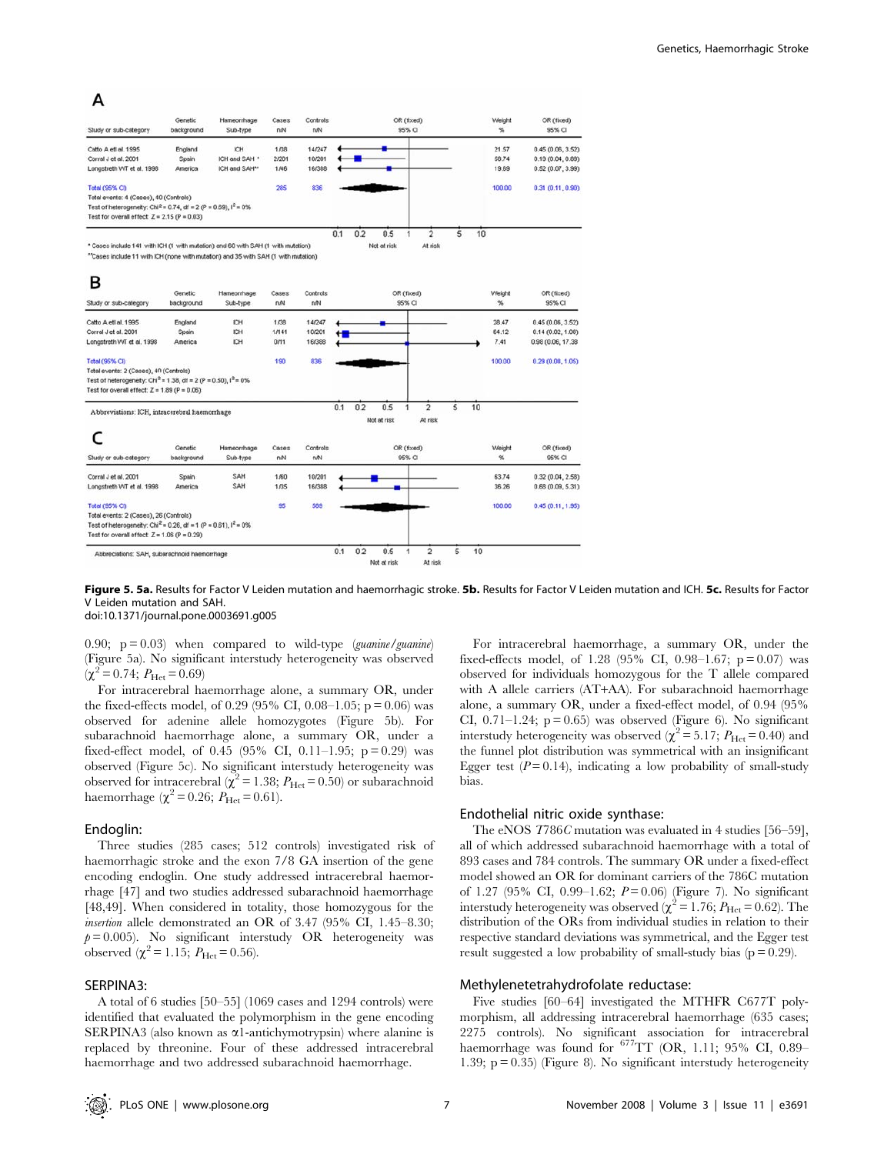# A

| Study or sub-category                                                                                                                                                                              | Genetic<br>background       | Hameorrhage<br>Sub-type                           | Cases<br>nM           | Controls<br>nM             |     |     |                    | OR (fixed)<br>95% CI                      |   |    | Weight<br>%             | OR (fixed)<br>95% CI                                       |
|----------------------------------------------------------------------------------------------------------------------------------------------------------------------------------------------------|-----------------------------|---------------------------------------------------|-----------------------|----------------------------|-----|-----|--------------------|-------------------------------------------|---|----|-------------------------|------------------------------------------------------------|
| Catto A etl al. 1995<br>Corral J et al. 2001<br>Longstreth WT et al. 1998                                                                                                                          | England<br>Spain<br>America | ICH<br>ICH and SAH *<br>ICH and SAH <sup>**</sup> | 1/38<br>2/201<br>1/46 | 14/247<br>10/201<br>16/388 |     |     |                    |                                           |   |    | 21.57<br>58.74<br>19.69 | 0.45(0.06, 3.52)<br>0.19(0.04, 0.89)<br>0.52(0.07, 3.99)   |
| <b>Total (95% CI)</b><br>Total events: 4 (Cases), 40 (Controls)<br>Test of heterogeneity: Chi <sup>2</sup> = 0.74, df = 2 (P = 0.69), $I^2$ = 0%<br>Test for overall effect: $Z = 2.15$ (P = 0.03) |                             |                                                   | 285                   | 836                        |     |     |                    |                                           |   |    | 100.00                  | 0.31 (0.11, 0.90)                                          |
| * Cases include 141 with ICH (1 with mutation) and 60 with SAH (1 with mutation)<br>"Cases include 11 with ICH (none with mutation) and 35 with SAH (1 with mutation)                              |                             |                                                   |                       |                            | 0.1 | 0.2 | 0.5<br>Not at risk | $\overline{2}$<br>1<br>At risk            | 5 | 10 |                         |                                                            |
| в<br>Study or sub-category                                                                                                                                                                         | Genetic<br>background       | Harneorrhage<br>Sub-type                          | Cases<br>nN           | Controls<br>n/N            |     |     |                    | OR (fixed)<br>95% CI                      |   |    | Weight<br>%             | OR (fixed)<br>95% CI                                       |
| Catto A etl al. 1995<br>Corral J et al. 2001<br>Longstreth WT et al. 1998                                                                                                                          | England<br>Spain<br>America | ICH<br>ICH<br>ICH                                 | 1/38<br>1/141<br>0/11 | 14/247<br>10/201<br>16/388 |     |     |                    |                                           |   |    | 28.47<br>64.12<br>7.41  | 0.45(0.06, 3.52)<br>0.14(0.02, 1.08)<br>0.98 (0.06, 17.38) |
| Total (95% CI)<br>Total events: 2 (Cases), 40 (Controls)<br>Test of heterogeneity: Chi <sup>2</sup> = 1.38, df = 2 (P = 0.50), $I^2$ = 0%<br>Test for overall effect: $Z = 1.89$ (P = 0.06)        |                             |                                                   | 190                   | 836                        |     |     |                    |                                           |   |    | 100.00                  | 0.29(0.08, 1.05)                                           |
| Abbreviations: ICH, intracerebral haemonhage                                                                                                                                                       |                             |                                                   |                       |                            | 0.1 | 0.2 | 0.5<br>Not at risk | $\overline{2}$<br>1<br>At risk            | ś | 10 |                         |                                                            |
| Study or sub-category                                                                                                                                                                              | Genetic<br>background       | Hameorrhage<br>Sub-type                           | Cases<br>nN           | Controls<br>nN             |     |     |                    | OR (fixed)<br>95% CI                      |   |    | Weight<br>$\%$          | OR (fixed)<br>95% CI                                       |
| Corral J et al. 2001<br>Longstreth WT et al. 1998                                                                                                                                                  | Spain<br>America            | SAH<br>SAH                                        | 1/60<br>1/35          | 10/201<br>16/388           |     |     |                    |                                           |   |    | 63.74<br>36.26          | 0.32 (0.04, 2.58)<br>0.68(0.09, 5.31)                      |
| Total (95% CI)<br>Total events: 2 (Cases), 26 (Controls)<br>Test of heterogeneity: Chi <sup>2</sup> = 0.26, df = 1 (P = 0.61), $I^2$ = 0%<br>Test for overall effect: $Z = 1.06 (P = 0.29)$        |                             |                                                   | 95                    | 589                        |     |     |                    |                                           |   |    | 100.00                  | 0.45(0.11, 1.95)                                           |
| Abbreciations: SAH, subarachnoid haemorrhage                                                                                                                                                       |                             |                                                   |                       |                            | 0.1 | 0.2 | 0.5<br>Not at risk | $\overline{c}$<br>$\mathbf{1}$<br>At risk | Ś | 10 |                         |                                                            |

Figure 5. 5a. Results for Factor V Leiden mutation and haemorrhagic stroke. 5b. Results for Factor V Leiden mutation and ICH. 5c. Results for Factor V Leiden mutation and SAH. doi:10.1371/journal.pone.0003691.g005

0.90;  $p = 0.03$ ) when compared to wild-type (*guanine*/*guanine*) (Figure 5a). No significant interstudy heterogeneity was observed  $(\chi^2 = 0.74; P_{\text{Het}} = 0.69)$ 

For intracerebral haemorrhage alone, a summary OR, under the fixed-effects model, of 0.29 (95% CI, 0.08–1.05;  $p = 0.06$ ) was observed for adenine allele homozygotes (Figure 5b). For subarachnoid haemorrhage alone, a summary OR, under a fixed-effect model, of 0.45 (95% CI, 0.11–1.95;  $p = 0.29$ ) was observed (Figure 5c). No significant interstudy heterogeneity was observed for intracerebral ( $\chi^2$  = 1.38;  $P_{\text{Het}}$  = 0.50) or subarachnoid haemorrhage ( $\chi^2 = 0.26$ ;  $P_{\text{He}t} = 0.61$ ).

#### Endoglin:

Three studies (285 cases; 512 controls) investigated risk of haemorrhagic stroke and the exon 7/8 GA insertion of the gene encoding endoglin. One study addressed intracerebral haemorrhage [47] and two studies addressed subarachnoid haemorrhage [48,49]. When considered in totality, those homozygous for the insertion allele demonstrated an OR of 3.47 (95% CI, 1.45–8.30;  $p = 0.005$ ). No significant interstudy OR heterogeneity was observed  $(\chi^2 = 1.15; P_{\text{Het}} = 0.56).$ 

#### SERPINA3:

A total of 6 studies [50–55] (1069 cases and 1294 controls) were identified that evaluated the polymorphism in the gene encoding SERPINA3 (also known as  $\alpha$ 1-antichymotrypsin) where alanine is replaced by threonine. Four of these addressed intracerebral haemorrhage and two addressed subarachnoid haemorrhage.

For intracerebral haemorrhage, a summary OR, under the fixed-effects model, of 1.28 (95% CI, 0.98–1.67;  $p = 0.07$ ) was observed for individuals homozygous for the T allele compared with A allele carriers (AT+AA). For subarachnoid haemorrhage alone, a summary OR, under a fixed-effect model, of 0.94 (95% CI,  $0.71-1.24$ ;  $p = 0.65$ ) was observed (Figure 6). No significant interstudy heterogeneity was observed ( $\chi^2$  = 5.17;  $P_{\text{Het}}$  = 0.40) and the funnel plot distribution was symmetrical with an insignificant Egger test  $(P=0.14)$ , indicating a low probability of small-study bias.

#### Endothelial nitric oxide synthase:

The eNOS T786C mutation was evaluated in 4 studies [56–59], all of which addressed subarachnoid haemorrhage with a total of 893 cases and 784 controls. The summary OR under a fixed-effect model showed an OR for dominant carriers of the 786C mutation of 1.27 (95% CI, 0.99–1.62;  $P = 0.06$ ) (Figure 7). No significant interstudy heterogeneity was observed ( $\chi^2$  = 1.76;  $P_{\text{Het}}$  = 0.62). The distribution of the ORs from individual studies in relation to their respective standard deviations was symmetrical, and the Egger test result suggested a low probability of small-study bias  $(p = 0.29)$ .

#### Methylenetetrahydrofolate reductase:

Five studies [60–64] investigated the MTHFR C677T polymorphism, all addressing intracerebral haemorrhage (635 cases; 2275 controls). No significant association for intracerebral haemorrhage was found for  $677TT$  (OR, 1.11; 95% CI, 0.89-1.39; p = 0.35) (Figure 8). No significant interstudy heterogeneity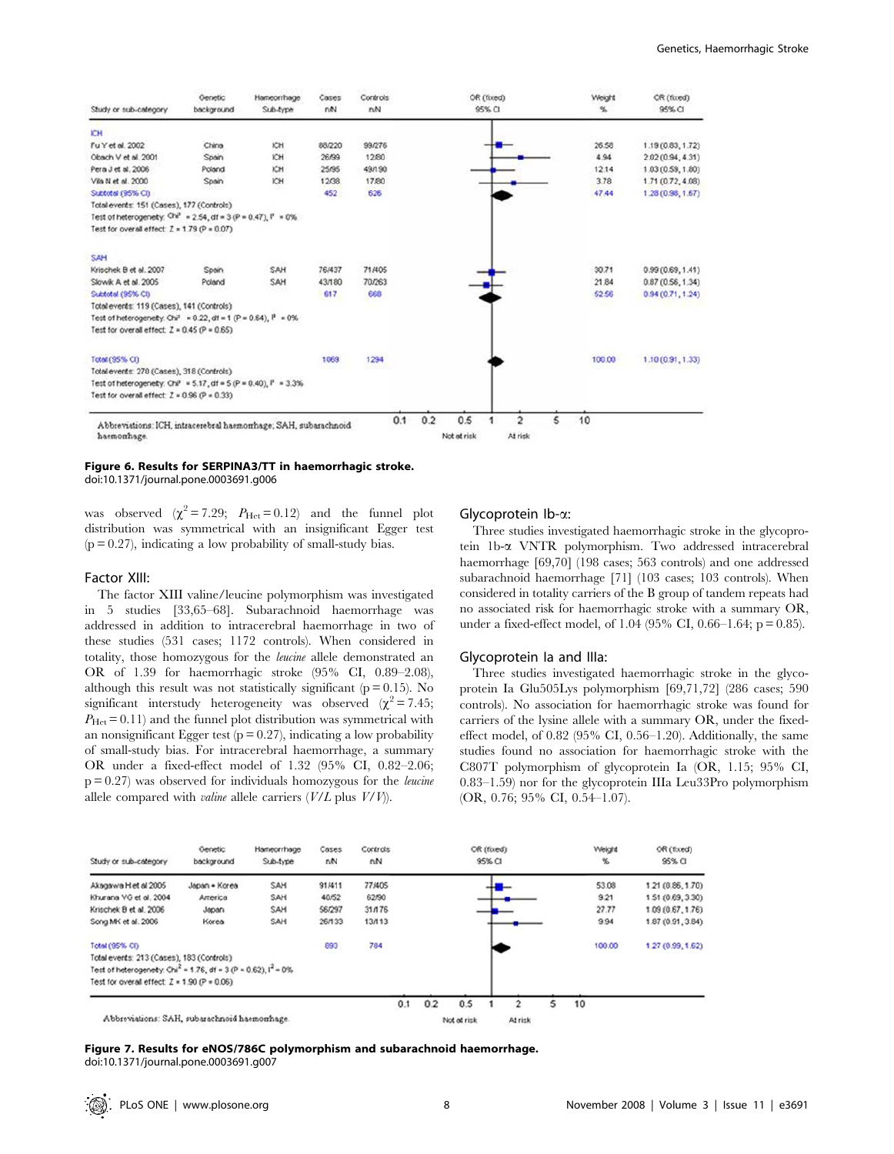| Study or sub-category                                                          | Genetic<br>background | Hameorrhage<br>Sub-type | Cases<br>net | Controls<br>nN |            | OR (fixed)<br>95% CI | Weight<br>%                          | OR (fixed)<br>95% CI |
|--------------------------------------------------------------------------------|-----------------------|-------------------------|--------------|----------------|------------|----------------------|--------------------------------------|----------------------|
| ICH.                                                                           |                       |                         |              |                |            |                      |                                      |                      |
| Fu Y et al. 2002                                                               | China                 | ЮH                      | 88/220       | 99/276         |            |                      | 26.58                                | 1.19 (0.83, 1.72)    |
| Obach V et al. 2001                                                            | Spain                 | <b>ICH</b>              | 26/99        | 12/80          |            |                      | 4.94                                 | 2.02 (0.94, 4.31)    |
| Pera J et al. 2006                                                             | Poland                | ЮH                      | 25/95        | 49/190         |            |                      | 12.14                                | 1.03 (0.59, 1.80)    |
| Vila N et al. 2000                                                             | Spain                 | KH                      | 12/38        | 17/80          |            |                      | 3.78                                 | 1.71 (0.72, 4.08)    |
| Subtotal (95% CI)                                                              |                       |                         | 452          | 626            |            |                      | 47.44                                | 1,28 (0.98, 1.67)    |
| Total events: 151 (Cases), 177 (Controls)                                      |                       |                         |              |                |            |                      |                                      |                      |
| Test of heterogenety; $Chr^2 = 2.54$ , df = 3 (P = 0.47), $P = 0\%$ .          |                       |                         |              |                |            |                      |                                      |                      |
| Test for overall effect: $Z = 1.79$ (P = 0.07)                                 |                       |                         |              |                |            |                      |                                      |                      |
| SAH                                                                            |                       |                         |              |                |            |                      |                                      |                      |
| Krischek B et al. 2007                                                         | Spain                 | SAH                     | 76,437       | 71/405         |            |                      | 30.71                                | 0.99 (0.69, 1.41)    |
| Slowk A et al. 2005                                                            | Poland                | SAH                     | 43/180       | 70/263         |            |                      | 21.84                                | 0.87(0.56, 1.34)     |
| Subtotal (95% CI)                                                              |                       |                         | 617          | 668            |            |                      | 52.56                                | 0.94 (0.71, 1.24)    |
| Total events: 119 (Cases), 141 (Controls)                                      |                       |                         |              |                |            |                      |                                      |                      |
| Test of heterogenety. Chi <sup>2</sup> = 0.22, df = 1 (P = 0.64), $P = 0\%$    |                       |                         |              |                |            |                      |                                      |                      |
| Test for overall effect: $Z = 0.45$ ( $P = 0.65$ )                             |                       |                         |              |                |            |                      |                                      |                      |
| <b>Total (95% CI)</b>                                                          |                       |                         | 1069         | 1294           |            |                      | 100.00                               | 1.10 (0.91, 1.33)    |
| Total events: 270 (Cases), 318 (Controls)                                      |                       |                         |              |                |            |                      |                                      |                      |
| Test of heterogenety: $Cr^2 = 5.17$ , df = $5$ ( $P = 0.40$ ), $P = 3.3\%$     |                       |                         |              |                |            |                      |                                      |                      |
| Test for overall effect: $Z = 0.96$ (P = 0.33)                                 |                       |                         |              |                |            |                      |                                      |                      |
| Abbreviations: ICH, intracerebral haemomhage; SAH, subarachnoid<br>haemonhage. |                       |                         |              |                | 0.1<br>0.2 | 0.5<br>Not at risk   | 10<br>$\overline{c}$<br>5<br>At risk |                      |

#### Figure 6. Results for SERPINA3/TT in haemorrhagic stroke. doi:10.1371/journal.pone.0003691.g006

was observed  $(\chi^2 = 7.29; P_{\text{Het}} = 0.12)$  and the funnel plot distribution was symmetrical with an insignificant Egger test  $(p = 0.27)$ , indicating a low probability of small-study bias.

#### Factor XIII:

The factor XIII valine/leucine polymorphism was investigated in 5 studies [33,65–68]. Subarachnoid haemorrhage was addressed in addition to intracerebral haemorrhage in two of these studies (531 cases; 1172 controls). When considered in totality, those homozygous for the leucine allele demonstrated an OR of 1.39 for haemorrhagic stroke (95% CI, 0.89–2.08), although this result was not statistically significant ( $p = 0.15$ ). No significant interstudy heterogeneity was observed  $(\chi^2 = 7.45)$ ;  $P_{\text{He}t}$  = 0.11) and the funnel plot distribution was symmetrical with an nonsignificant Egger test ( $p = 0.27$ ), indicating a low probability of small-study bias. For intracerebral haemorrhage, a summary OR under a fixed-effect model of 1.32 (95% CI, 0.82–2.06;  $p = 0.27$ ) was observed for individuals homozygous for the *leucine* allele compared with *valine* allele carriers  $(V/L)$  plus  $V/V$ ).

### Glycoprotein Ib-a:

Three studies investigated haemorrhagic stroke in the glycoprotein 1b-a VNTR polymorphism. Two addressed intracerebral haemorrhage [69,70] (198 cases; 563 controls) and one addressed subarachnoid haemorrhage [71] (103 cases; 103 controls). When considered in totality carriers of the B group of tandem repeats had no associated risk for haemorrhagic stroke with a summary OR, under a fixed-effect model, of  $1.04$  (95% CI, 0.66–1.64; p = 0.85).

#### Glycoprotein Ia and IIIa:

Three studies investigated haemorrhagic stroke in the glycoprotein Ia Glu505Lys polymorphism [69,71,72] (286 cases; 590 controls). No association for haemorrhagic stroke was found for carriers of the lysine allele with a summary OR, under the fixedeffect model, of 0.82 (95% CI, 0.56–1.20). Additionally, the same studies found no association for haemorrhagic stroke with the C807T polymorphism of glycoprotein Ia (OR, 1.15; 95% CI, 0.83–1.59) nor for the glycoprotein IIIa Leu33Pro polymorphism (OR, 0.76; 95% CI, 0.54–1.07).



Figure 7. Results for eNOS/786C polymorphism and subarachnoid haemorrhage. doi:10.1371/journal.pone.0003691.g007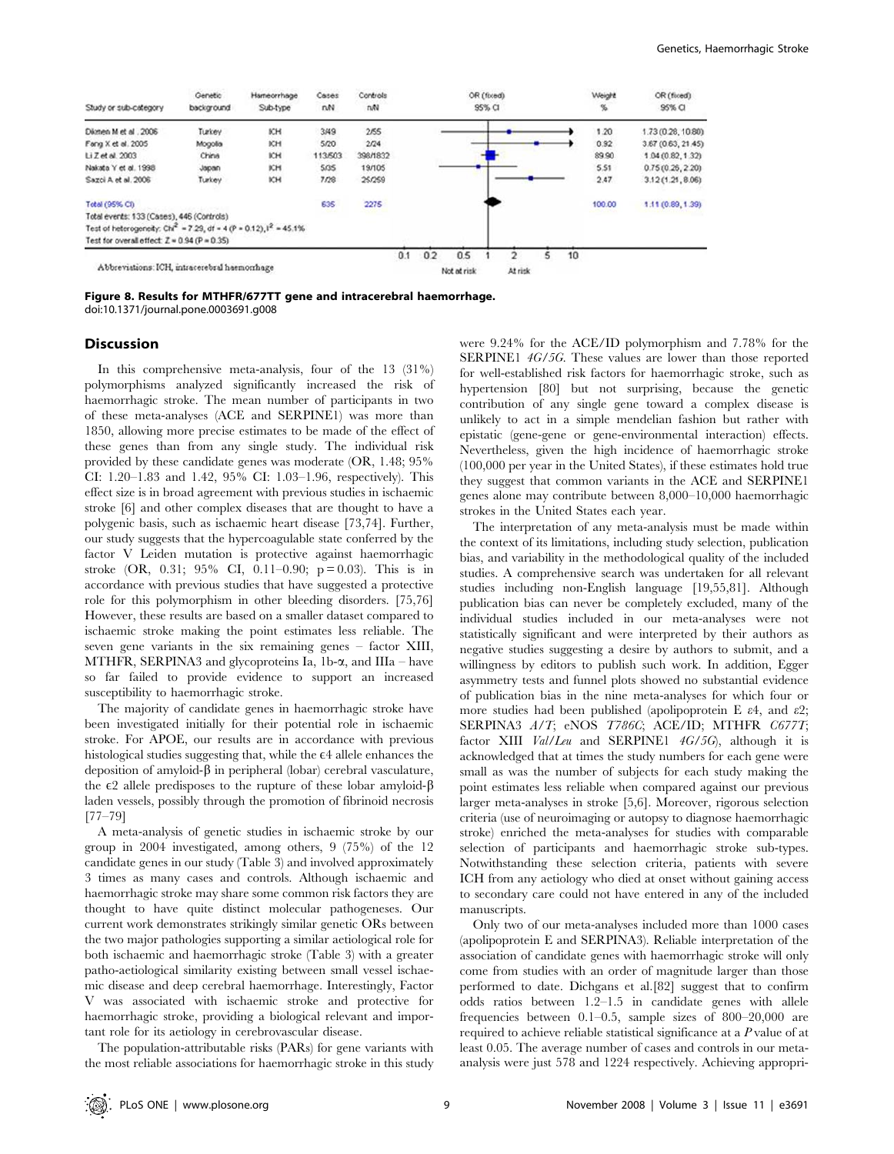

Figure 8. Results for MTHFR/677TT gene and intracerebral haemorrhage. doi:10.1371/journal.pone.0003691.g008

#### Discussion

In this comprehensive meta-analysis, four of the 13 (31%) polymorphisms analyzed significantly increased the risk of haemorrhagic stroke. The mean number of participants in two of these meta-analyses (ACE and SERPINE1) was more than 1850, allowing more precise estimates to be made of the effect of these genes than from any single study. The individual risk provided by these candidate genes was moderate (OR, 1.48; 95% CI: 1.20–1.83 and 1.42, 95% CI: 1.03–1.96, respectively). This effect size is in broad agreement with previous studies in ischaemic stroke [6] and other complex diseases that are thought to have a polygenic basis, such as ischaemic heart disease [73,74]. Further, our study suggests that the hypercoagulable state conferred by the factor V Leiden mutation is protective against haemorrhagic stroke  $(OR, 0.31; 95\% \text{ CI}, 0.11-0.90; \text{p} = 0.03)$ . This is in accordance with previous studies that have suggested a protective role for this polymorphism in other bleeding disorders. [75,76] However, these results are based on a smaller dataset compared to ischaemic stroke making the point estimates less reliable. The seven gene variants in the six remaining genes – factor XIII, MTHFR, SERPINA3 and glycoproteins Ia, 1b- $\alpha$ , and IIIa – have so far failed to provide evidence to support an increased susceptibility to haemorrhagic stroke.

The majority of candidate genes in haemorrhagic stroke have been investigated initially for their potential role in ischaemic stroke. For APOE, our results are in accordance with previous histological studies suggesting that, while the  $\varepsilon$ 4 allele enhances the deposition of amyloid- $\beta$  in peripheral (lobar) cerebral vasculature, the  $\epsilon$ 2 allele predisposes to the rupture of these lobar amyloid- $\beta$ laden vessels, possibly through the promotion of fibrinoid necrosis [77–79]

A meta-analysis of genetic studies in ischaemic stroke by our group in 2004 investigated, among others, 9 (75%) of the 12 candidate genes in our study (Table 3) and involved approximately 3 times as many cases and controls. Although ischaemic and haemorrhagic stroke may share some common risk factors they are thought to have quite distinct molecular pathogeneses. Our current work demonstrates strikingly similar genetic ORs between the two major pathologies supporting a similar aetiological role for both ischaemic and haemorrhagic stroke (Table 3) with a greater patho-aetiological similarity existing between small vessel ischaemic disease and deep cerebral haemorrhage. Interestingly, Factor V was associated with ischaemic stroke and protective for haemorrhagic stroke, providing a biological relevant and important role for its aetiology in cerebrovascular disease.

The population-attributable risks (PARs) for gene variants with the most reliable associations for haemorrhagic stroke in this study were 9.24% for the ACE/ID polymorphism and 7.78% for the SERPINE1 4G/5G. These values are lower than those reported for well-established risk factors for haemorrhagic stroke, such as hypertension [80] but not surprising, because the genetic contribution of any single gene toward a complex disease is unlikely to act in a simple mendelian fashion but rather with epistatic (gene-gene or gene-environmental interaction) effects. Nevertheless, given the high incidence of haemorrhagic stroke (100,000 per year in the United States), if these estimates hold true they suggest that common variants in the ACE and SERPINE1 genes alone may contribute between 8,000–10,000 haemorrhagic strokes in the United States each year.

The interpretation of any meta-analysis must be made within the context of its limitations, including study selection, publication bias, and variability in the methodological quality of the included studies. A comprehensive search was undertaken for all relevant studies including non-English language [19,55,81]. Although publication bias can never be completely excluded, many of the individual studies included in our meta-analyses were not statistically significant and were interpreted by their authors as negative studies suggesting a desire by authors to submit, and a willingness by editors to publish such work. In addition, Egger asymmetry tests and funnel plots showed no substantial evidence of publication bias in the nine meta-analyses for which four or more studies had been published (apolipoprotein E  $\varepsilon$ 4, and  $\varepsilon$ 2; SERPINA3 A/T; eNOS T786C; ACE/ID; MTHFR C677T; factor XIII  $Val/Leu$  and SERPINE1  $4G/5G$ , although it is acknowledged that at times the study numbers for each gene were small as was the number of subjects for each study making the point estimates less reliable when compared against our previous larger meta-analyses in stroke [5,6]. Moreover, rigorous selection criteria (use of neuroimaging or autopsy to diagnose haemorrhagic stroke) enriched the meta-analyses for studies with comparable selection of participants and haemorrhagic stroke sub-types. Notwithstanding these selection criteria, patients with severe ICH from any aetiology who died at onset without gaining access to secondary care could not have entered in any of the included manuscripts.

Only two of our meta-analyses included more than 1000 cases (apolipoprotein E and SERPINA3). Reliable interpretation of the association of candidate genes with haemorrhagic stroke will only come from studies with an order of magnitude larger than those performed to date. Dichgans et al.[82] suggest that to confirm odds ratios between 1.2–1.5 in candidate genes with allele frequencies between 0.1–0.5, sample sizes of 800–20,000 are required to achieve reliable statistical significance at a P value of at least 0.05. The average number of cases and controls in our metaanalysis were just 578 and 1224 respectively. Achieving appropri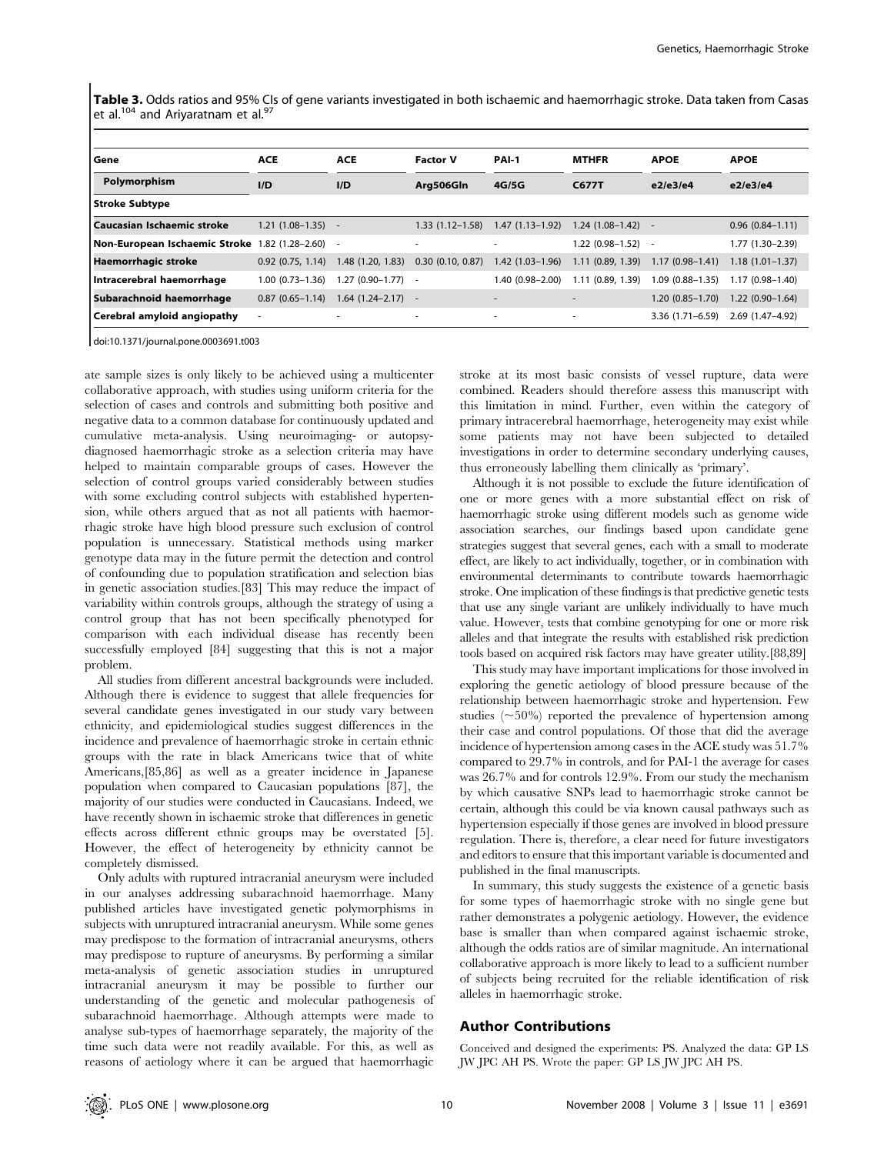Table 3. Odds ratios and 95% CIs of gene variants investigated in both ischaemic and haemorrhagic stroke. Data taken from Casas et al. $104$  and Ariyaratnam et al. $97$ 

| l Gene                        | <b>ACE</b>               | <b>ACE</b>          | <b>Factor V</b>          | PAI-1                    | <b>MTHFR</b>        | <b>APOE</b>         | <b>APOE</b>         |
|-------------------------------|--------------------------|---------------------|--------------------------|--------------------------|---------------------|---------------------|---------------------|
| Polymorphism                  | I/D                      | I/D                 | Arg506Gln                | 4G/5G                    | <b>C677T</b>        | e2/e3/e4            | e2/e3/e4            |
| Stroke Subtype                |                          |                     |                          |                          |                     |                     |                     |
| Caucasian Ischaemic stroke    | $1.21(1.08-1.35)$        |                     | $1.33(1.12 - 1.58)$      | $1.47(1.13 - 1.92)$      | $1.24(1.08-1.42)$ - |                     | $0.96(0.84 - 1.11)$ |
| Non-European Ischaemic Stroke | 1.82 (1.28-2.60)         |                     | $\overline{\phantom{a}}$ | ٠                        | $1.22(0.98-1.52) -$ |                     | 1.77 (1.30-2.39)    |
| Haemorrhagic stroke           | $0.92$ $(0.75, 1.14)$    | 1.48 (1.20, 1.83)   | $0.30$ (0.10, 0.87)      | $1.42(1.03-1.96)$        | 1.11(0.89, 1.39)    | $1.17(0.98 - 1.41)$ | $1.18(1.01 - 1.37)$ |
| Intracerebral haemorrhage     | $1.00(0.73 - 1.36)$      | 1.27 (0.90–1.77)    |                          | $1.40(0.98 - 2.00)$      | 1.11(0.89, 1.39)    | $1.09(0.88 - 1.35)$ | $1.17(0.98 - 1.40)$ |
| Subarachnoid haemorrhage      | $0.87(0.65 - 1.14)$      | $1.64(1.24 - 2.17)$ |                          | $\overline{\phantom{a}}$ | ٠                   | $1.20(0.85 - 1.70)$ | $1.22(0.90-1.64)$   |
| Cerebral amyloid angiopathy   | $\overline{\phantom{a}}$ |                     | $\overline{\phantom{a}}$ | ٠                        | ٠                   | $3.36(1.71 - 6.59)$ | 2.69 (1.47-4.92)    |

doi:10.1371/journal.pone.0003691.t003

ate sample sizes is only likely to be achieved using a multicenter collaborative approach, with studies using uniform criteria for the selection of cases and controls and submitting both positive and negative data to a common database for continuously updated and cumulative meta-analysis. Using neuroimaging- or autopsydiagnosed haemorrhagic stroke as a selection criteria may have helped to maintain comparable groups of cases. However the selection of control groups varied considerably between studies with some excluding control subjects with established hypertension, while others argued that as not all patients with haemorrhagic stroke have high blood pressure such exclusion of control population is unnecessary. Statistical methods using marker genotype data may in the future permit the detection and control of confounding due to population stratification and selection bias in genetic association studies.[83] This may reduce the impact of variability within controls groups, although the strategy of using a control group that has not been specifically phenotyped for comparison with each individual disease has recently been successfully employed [84] suggesting that this is not a major problem.

All studies from different ancestral backgrounds were included. Although there is evidence to suggest that allele frequencies for several candidate genes investigated in our study vary between ethnicity, and epidemiological studies suggest differences in the incidence and prevalence of haemorrhagic stroke in certain ethnic groups with the rate in black Americans twice that of white Americans,[85,86] as well as a greater incidence in Japanese population when compared to Caucasian populations [87], the majority of our studies were conducted in Caucasians. Indeed, we have recently shown in ischaemic stroke that differences in genetic effects across different ethnic groups may be overstated [5]. However, the effect of heterogeneity by ethnicity cannot be completely dismissed.

Only adults with ruptured intracranial aneurysm were included in our analyses addressing subarachnoid haemorrhage. Many published articles have investigated genetic polymorphisms in subjects with unruptured intracranial aneurysm. While some genes may predispose to the formation of intracranial aneurysms, others may predispose to rupture of aneurysms. By performing a similar meta-analysis of genetic association studies in unruptured intracranial aneurysm it may be possible to further our understanding of the genetic and molecular pathogenesis of subarachnoid haemorrhage. Although attempts were made to analyse sub-types of haemorrhage separately, the majority of the time such data were not readily available. For this, as well as reasons of aetiology where it can be argued that haemorrhagic

stroke at its most basic consists of vessel rupture, data were combined. Readers should therefore assess this manuscript with this limitation in mind. Further, even within the category of primary intracerebral haemorrhage, heterogeneity may exist while some patients may not have been subjected to detailed investigations in order to determine secondary underlying causes, thus erroneously labelling them clinically as 'primary'.

Although it is not possible to exclude the future identification of one or more genes with a more substantial effect on risk of haemorrhagic stroke using different models such as genome wide association searches, our findings based upon candidate gene strategies suggest that several genes, each with a small to moderate effect, are likely to act individually, together, or in combination with environmental determinants to contribute towards haemorrhagic stroke. One implication of these findings is that predictive genetic tests that use any single variant are unlikely individually to have much value. However, tests that combine genotyping for one or more risk alleles and that integrate the results with established risk prediction tools based on acquired risk factors may have greater utility.[88,89]

This study may have important implications for those involved in exploring the genetic aetiology of blood pressure because of the relationship between haemorrhagic stroke and hypertension. Few studies  $($  $\sim$ 50%) reported the prevalence of hypertension among their case and control populations. Of those that did the average incidence of hypertension among cases in the ACE study was 51.7% compared to 29.7% in controls, and for PAI-1 the average for cases was 26.7% and for controls 12.9%. From our study the mechanism by which causative SNPs lead to haemorrhagic stroke cannot be certain, although this could be via known causal pathways such as hypertension especially if those genes are involved in blood pressure regulation. There is, therefore, a clear need for future investigators and editors to ensure that this important variable is documented and published in the final manuscripts.

In summary, this study suggests the existence of a genetic basis for some types of haemorrhagic stroke with no single gene but rather demonstrates a polygenic aetiology. However, the evidence base is smaller than when compared against ischaemic stroke, although the odds ratios are of similar magnitude. An international collaborative approach is more likely to lead to a sufficient number of subjects being recruited for the reliable identification of risk alleles in haemorrhagic stroke.

# Author Contributions

Conceived and designed the experiments: PS. Analyzed the data: GP LS JW JPC AH PS. Wrote the paper: GP LS JW JPC AH PS.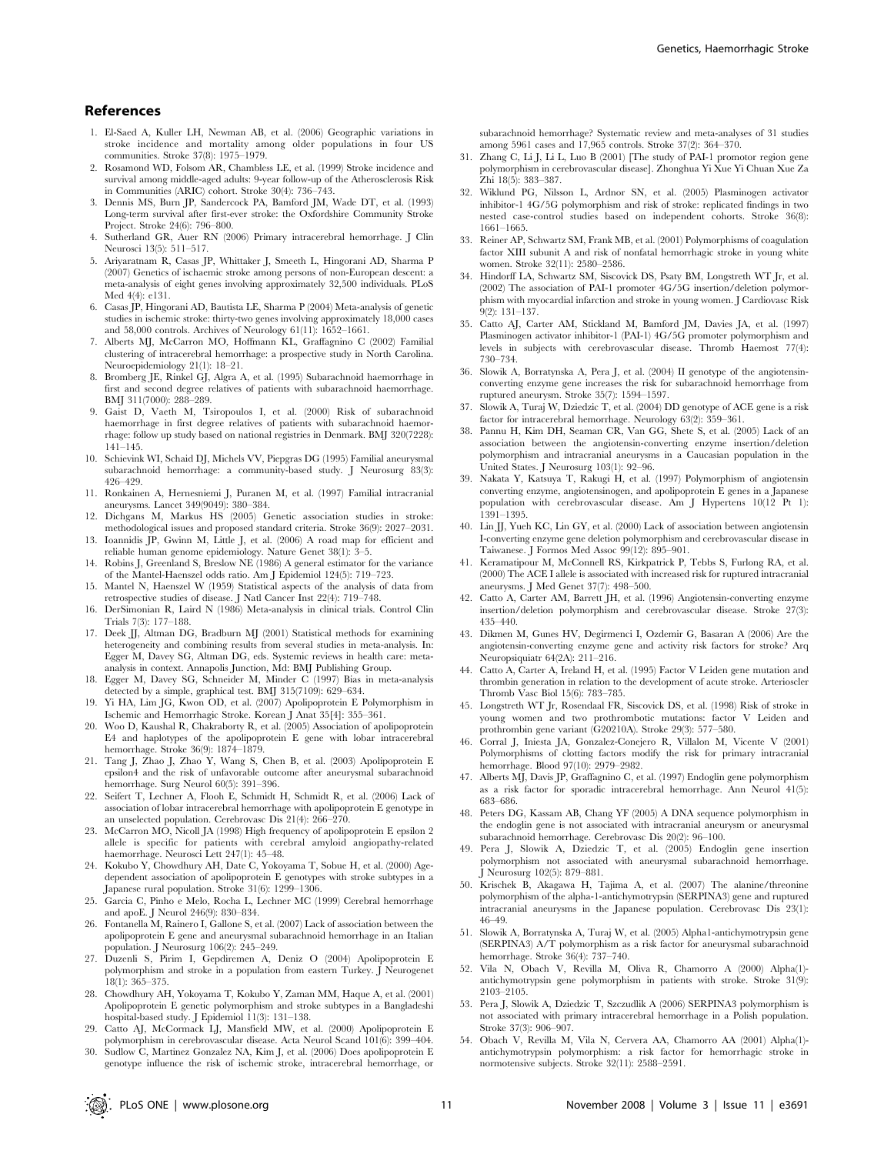- 1. El-Saed A, Kuller LH, Newman AB, et al. (2006) Geographic variations in stroke incidence and mortality among older populations in four US communities. Stroke 37(8): 1975–1979.
- 2. Rosamond WD, Folsom AR, Chambless LE, et al. (1999) Stroke incidence and survival among middle-aged adults: 9-year follow-up of the Atherosclerosis Risk in Communities (ARIC) cohort. Stroke 30(4): 736–743.
- 3. Dennis MS, Burn JP, Sandercock PA, Bamford JM, Wade DT, et al. (1993) Long-term survival after first-ever stroke: the Oxfordshire Community Stroke Project. Stroke 24(6): 796–800.
- 4. Sutherland GR, Auer RN (2006) Primary intracerebral hemorrhage. J Clin Neurosci 13(5): 511–517.
- 5. Ariyaratnam R, Casas JP, Whittaker J, Smeeth L, Hingorani AD, Sharma P (2007) Genetics of ischaemic stroke among persons of non-European descent: a meta-analysis of eight genes involving approximately 32,500 individuals. PLoS Med 4(4): e131.
- 6. Casas JP, Hingorani AD, Bautista LE, Sharma P (2004) Meta-analysis of genetic studies in ischemic stroke: thirty-two genes involving approximately 18,000 cases and 58,000 controls. Archives of Neurology 61(11): 1652–1661.
- 7. Alberts MJ, McCarron MO, Hoffmann KL, Graffagnino C (2002) Familial clustering of intracerebral hemorrhage: a prospective study in North Carolina. Neuroepidemiology 21(1): 18–21.
- 8. Bromberg JE, Rinkel GJ, Algra A, et al. (1995) Subarachnoid haemorrhage in first and second degree relatives of patients with subarachnoid haemorrhage. BMJ 311(7000): 288–289.
- 9. Gaist D, Vaeth M, Tsiropoulos I, et al. (2000) Risk of subarachnoid haemorrhage in first degree relatives of patients with subarachnoid haemorrhage: follow up study based on national registries in Denmark. BMJ 320(7228): 141–145.
- 10. Schievink WI, Schaid DJ, Michels VV, Piepgras DG (1995) Familial aneurysmal subarachnoid hemorrhage: a community-based study. J Neurosurg 83(3): 426–429.
- 11. Ronkainen A, Hernesniemi J, Puranen M, et al. (1997) Familial intracranial aneurysms. Lancet 349(9049): 380–384.
- 12. Dichgans M, Markus HS (2005) Genetic association studies in stroke: methodological issues and proposed standard criteria. Stroke 36(9): 2027–2031.
- 13. Ioannidis JP, Gwinn M, Little J, et al. (2006) A road map for efficient and reliable human genome epidemiology. Nature Genet 38(1): 3–5.
- 14. Robins J, Greenland S, Breslow NE (1986) A general estimator for the variance of the Mantel-Haenszel odds ratio. Am J Epidemiol 124(5): 719–723.
- 15. Mantel N, Haenszel W (1959) Statistical aspects of the analysis of data from retrospective studies of disease. J Natl Cancer Inst 22(4): 719–748.
- 16. DerSimonian R, Laird N (1986) Meta-analysis in clinical trials. Control Clin Trials 7(3): 177–188.
- 17. Deek JJ, Altman DG, Bradburn MJ (2001) Statistical methods for examining heterogeneity and combining results from several studies in meta-analysis. In: Egger M, Davey SG, Altman DG, eds. Systemic reviews in health care: metaanalysis in context. Annapolis Junction, Md: BMJ Publishing Group.
- 18. Egger M, Davey SG, Schneider M, Minder C (1997) Bias in meta-analysis detected by a simple, graphical test. BMJ 315(7109): 629–634.
- 19. Yi HA, Lim JG, Kwon OD, et al. (2007) Apolipoprotein E Polymorphism in Ischemic and Hemorrhagic Stroke. Korean J Anat 35[4]: 355–361.
- 20. Woo D, Kaushal R, Chakraborty R, et al. (2005) Association of apolipoprotein E4 and haplotypes of the apolipoprotein E gene with lobar intracerebral hemorrhage. Stroke 36(9): 1874–1879.
- 21. Tang J, Zhao J, Zhao Y, Wang S, Chen B, et al. (2003) Apolipoprotein E epsilon4 and the risk of unfavorable outcome after aneurysmal subarachnoid hemorrhage. Surg Neurol 60(5): 391–396.
- 22. Seifert T, Lechner A, Flooh E, Schmidt H, Schmidt R, et al. (2006) Lack of association of lobar intracerebral hemorrhage with apolipoprotein E genotype in an unselected population. Cerebrovasc Dis 21(4): 266–270.
- 23. McCarron MO, Nicoll JA (1998) High frequency of apolipoprotein E epsilon 2 allele is specific for patients with cerebral amyloid angiopathy-related haemorrhage. Neurosci Lett 247(1): 45–48.
- 24. Kokubo Y, Chowdhury AH, Date C, Yokoyama T, Sobue H, et al. (2000) Agedependent association of apolipoprotein E genotypes with stroke subtypes in a Japanese rural population. Stroke 31(6): 1299–1306.
- 25. Garcia C, Pinho e Melo, Rocha L, Lechner MC (1999) Cerebral hemorrhage and apoE. J Neurol 246(9): 830–834.
- 26. Fontanella M, Rainero I, Gallone S, et al. (2007) Lack of association between the apolipoprotein E gene and aneurysmal subarachnoid hemorrhage in an Italian population. J Neurosurg 106(2): 245–249.
- 27. Duzenli S, Pirim I, Gepdiremen A, Deniz O (2004) Apolipoprotein E polymorphism and stroke in a population from eastern Turkey. J Neurogenet 18(1): 365–375.
- 28. Chowdhury AH, Yokoyama T, Kokubo Y, Zaman MM, Haque A, et al. (2001) Apolipoprotein E genetic polymorphism and stroke subtypes in a Bangladeshi hospital-based study. J Epidemiol 11(3): 131–138.
- 29. Catto AJ, McCormack LJ, Mansfield MW, et al. (2000) Apolipoprotein E polymorphism in cerebrovascular disease. Acta Neurol Scand 101(6): 399–404.
- 30. Sudlow C, Martinez Gonzalez NA, Kim J, et al. (2006) Does apolipoprotein E genotype influence the risk of ischemic stroke, intracerebral hemorrhage, or

subarachnoid hemorrhage? Systematic review and meta-analyses of 31 studies among 5961 cases and 17,965 controls. Stroke 37(2): 364–370.

- 31. Zhang C, Li J, Li L, Luo B (2001) [The study of PAI-1 promotor region gene polymorphism in cerebrovascular disease]. Zhonghua Yi Xue Yi Chuan Xue Za Zhi 18(5): 383–387.
- 32. Wiklund PG, Nilsson L, Ardnor SN, et al. (2005) Plasminogen activator inhibitor-1 4G/5G polymorphism and risk of stroke: replicated findings in two nested case-control studies based on independent cohorts. Stroke 36(8): 1661–1665.
- 33. Reiner AP, Schwartz SM, Frank MB, et al. (2001) Polymorphisms of coagulation factor XIII subunit A and risk of nonfatal hemorrhagic stroke in young white women. Stroke 32(11): 2580–2586.
- 34. Hindorff LA, Schwartz SM, Siscovick DS, Psaty BM, Longstreth WT Jr, et al. (2002) The association of PAI-1 promoter 4G/5G insertion/deletion polymorphism with myocardial infarction and stroke in young women. J Cardiovasc Risk 9(2): 131–137.
- 35. Catto AJ, Carter AM, Stickland M, Bamford JM, Davies JA, et al. (1997) Plasminogen activator inhibitor-1 (PAI-1) 4G/5G promoter polymorphism and levels in subjects with cerebrovascular disease. Thromb Haemost 77(4): 730–734.
- 36. Slowik A, Borratynska A, Pera J, et al. (2004) II genotype of the angiotensinconverting enzyme gene increases the risk for subarachnoid hemorrhage from ruptured aneurysm. Stroke 35(7): 1594–1597.
- Slowik A, Turaj W, Dziedzic T, et al. (2004) DD genotype of ACE gene is a risk factor for intracerebral hemorrhage. Neurology 63(2): 359–361.
- 38. Pannu H, Kim DH, Seaman CR, Van GG, Shete S, et al. (2005) Lack of an association between the angiotensin-converting enzyme insertion/deletion polymorphism and intracranial aneurysms in a Caucasian population in the United States. J Neurosurg 103(1): 92–96.
- 39. Nakata Y, Katsuya T, Rakugi H, et al. (1997) Polymorphism of angiotensin converting enzyme, angiotensinogen, and apolipoprotein E genes in a Japanese population with cerebrovascular disease. Am J Hypertens 10(12 Pt 1): 1391–1395.
- 40. Lin JJ, Yueh KC, Lin GY, et al. (2000) Lack of association between angiotensin I-converting enzyme gene deletion polymorphism and cerebrovascular disease in Taiwanese. J Formos Med Assoc 99(12): 895–901.
- 41. Keramatipour M, McConnell RS, Kirkpatrick P, Tebbs S, Furlong RA, et al. (2000) The ACE I allele is associated with increased risk for ruptured intracranial aneurysms. J Med Genet 37(7): 498–500.
- 42. Catto A, Carter AM, Barrett JH, et al. (1996) Angiotensin-converting enzyme insertion/deletion polymorphism and cerebrovascular disease. Stroke 27(3): 435–440.
- 43. Dikmen M, Gunes HV, Degirmenci I, Ozdemir G, Basaran A (2006) Are the angiotensin-converting enzyme gene and activity risk factors for stroke? Arq Neuropsiquiatr 64(2A): 211–216.
- 44. Catto A, Carter A, Ireland H, et al. (1995) Factor V Leiden gene mutation and thrombin generation in relation to the development of acute stroke. Arterioscler Thromb Vasc Biol 15(6): 783–785.
- 45. Longstreth WT Jr, Rosendaal FR, Siscovick DS, et al. (1998) Risk of stroke in young women and two prothrombotic mutations: factor V Leiden and prothrombin gene variant (G20210A). Stroke 29(3): 577–580.
- 46. Corral J, Iniesta JA, Gonzalez-Conejero R, Villalon M, Vicente V (2001) Polymorphisms of clotting factors modify the risk for primary intracranial hemorrhage. Blood 97(10): 2979–2982.
- 47. Alberts MJ, Davis JP, Graffagnino C, et al. (1997) Endoglin gene polymorphism as a risk factor for sporadic intracerebral hemorrhage. Ann Neurol 41(5): 683–686.
- 48. Peters DG, Kassam AB, Chang YF (2005) A DNA sequence polymorphism in the endoglin gene is not associated with intracranial aneurysm or aneurysmal subarachnoid hemorrhage. Cerebrovasc Dis 20(2): 96–100.
- 49. Pera J, Slowik A, Dziedzic T, et al. (2005) Endoglin gene insertion polymorphism not associated with aneurysmal subarachnoid hemorrhage. J Neurosurg 102(5): 879–881.
- 50. Krischek B, Akagawa H, Tajima A, et al. (2007) The alanine/threonine polymorphism of the alpha-1-antichymotrypsin (SERPINA3) gene and ruptured intracranial aneurysms in the Japanese population. Cerebrovasc Dis 23(1): 46–49.
- 51. Slowik A, Borratynska A, Turaj W, et al. (2005) Alpha1-antichymotrypsin gene (SERPINA3) A/T polymorphism as a risk factor for aneurysmal subarachnoid hemorrhage. Stroke 36(4): 737–740.
- 52. Vila N, Obach V, Revilla M, Oliva R, Chamorro A (2000) Alpha(1) antichymotrypsin gene polymorphism in patients with stroke. Stroke 31(9): 2103–2105.
- 53. Pera J, Slowik A, Dziedzic T, Szczudlik A (2006) SERPINA3 polymorphism is not associated with primary intracerebral hemorrhage in a Polish population. Stroke 37(3): 906–907.
- 54. Obach V, Revilla M, Vila N, Cervera AA, Chamorro AA (2001) Alpha(1) antichymotrypsin polymorphism: a risk factor for hemorrhagic stroke in normotensive subjects. Stroke 32(11): 2588–2591.